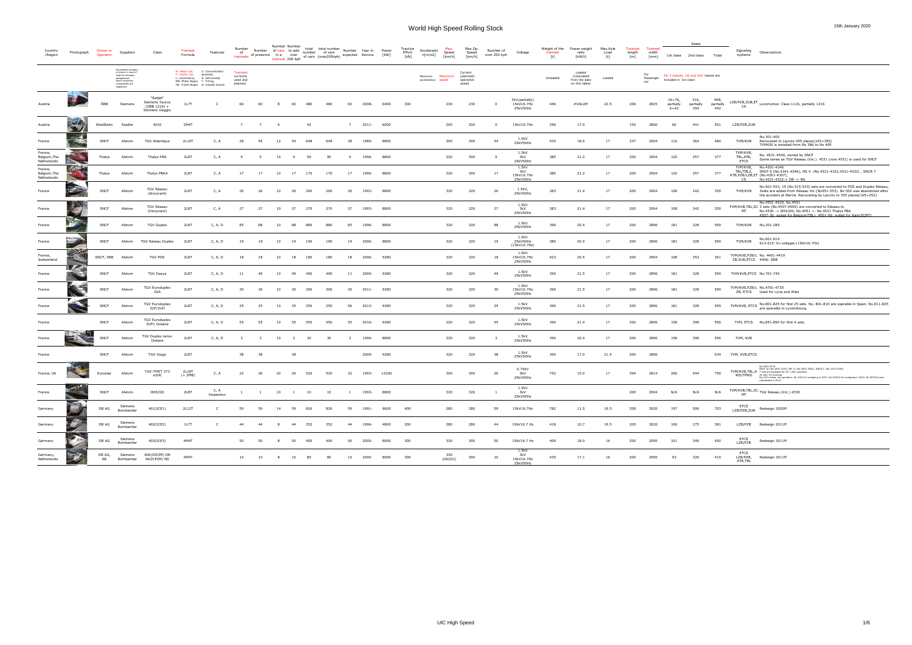#### Seats

| /Region                                | Photograph                   | Owner or<br>Operator | Suppliers                                                                                                                      |                                                                  | Trainse<br>Formula                                                     | Features                                                                                            | Number<br>trainsets of presence in a over            | Number of cars to add number of cars                                                                                                                                                                          | Number Number  |                         | total total number Number Year in Power<br>re over the order of the control of the control of the control of the control of the control of the control of<br>trainset 200 kph of cars (over200 kph) expected Service [kW] |     |                |       |             | Tractive<br>Effort<br>[kN] | Acceleratio<br>n[m/s2]        | Speed<br>[km/h] | Max.Op.<br>Speed<br>[km/h]                 | Number of<br>over 250 kph | Voltage                                  | Weight of the<br>trainset<br>$[t] \centering% \includegraphics[width=0.9\textwidth]{Figures/PN1.png} \caption{The 3D (black) model for the $L^2$-error of the estimators in the left and right. The left and right is the same as in the right.} \label{fig:TPN1}$ | Power weight<br>ratio<br>[kW/t]                          | Max.Axle<br>Load<br>[t] | <b>Trainset</b><br>length<br>[m] | Trainse<br>width<br>[mm] |                                     | 1st class 2nd class                    | Total                    | Signaling<br>systems                | Observations                                                                                                                                                                                                                                                                                                         |
|----------------------------------------|------------------------------|----------------------|--------------------------------------------------------------------------------------------------------------------------------|------------------------------------------------------------------|------------------------------------------------------------------------|-----------------------------------------------------------------------------------------------------|------------------------------------------------------|---------------------------------------------------------------------------------------------------------------------------------------------------------------------------------------------------------------|----------------|-------------------------|---------------------------------------------------------------------------------------------------------------------------------------------------------------------------------------------------------------------------|-----|----------------|-------|-------------|----------------------------|-------------------------------|-----------------|--------------------------------------------|---------------------------|------------------------------------------|--------------------------------------------------------------------------------------------------------------------------------------------------------------------------------------------------------------------------------------------------------------------|----------------------------------------------------------|-------------------------|----------------------------------|--------------------------|-------------------------------------|----------------------------------------|--------------------------|-------------------------------------|----------------------------------------------------------------------------------------------------------------------------------------------------------------------------------------------------------------------------------------------------------------------------------------------------------------------|
|                                        |                              |                      | Succeeded company<br>is shown in case of<br>original company<br>disappeared.<br>Some subsidary<br>comapanies are<br>neglected. |                                                                  | M: Motor Car,<br>T: Trailer Car,<br>L: Locomotive,<br>MB: Motor Bogie, | C: Concentrated<br>powered,<br>A: Articulated,<br>T: Tilting,<br>TB: Trailer Bogie D: Double Decker | <b>Trainsets</b><br>currently<br>used and<br>planned |                                                                                                                                                                                                               |                |                         |                                                                                                                                                                                                                           |     |                |       |             |                            | Maximum<br>acceleration speed | Maximum         | Current<br>(planned)<br>operation<br>speed |                           |                                          | Unloaded                                                                                                                                                                                                                                                           | Loaded<br>(Calculated<br>from the data<br>on this table) | Loaded                  |                                  | For<br>Passenger<br>car  | included in '1st class'             | For 3 classes, 1st and 2nd classes are |                          |                                     |                                                                                                                                                                                                                                                                                                                      |
| Austria                                |                              | ÖBB                  | Siemens                                                                                                                        | "Railjet"<br>Siemens Taurus<br>$(OBB 1216) +$<br>Siemens Viaggio | 1L7T                                                                   |                                                                                                     | 60                                                   | 60                                                                                                                                                                                                            |                | 60                      | 480                                                                                                                                                                                                                       | 480 | 60             | 2008- | 6400        | 300                        |                               | 230             | 230                                        | $\mathbf 0$               | 3kV(partially)<br>15kV16.7Hz<br>25kV50Hz | 446                                                                                                                                                                                                                                                                | #VALUE!                                                  | 22.5                    | 206                              | 2825                     | $16 + 76.$<br>partially<br>$6 + 42$ | 316.<br>partially<br>394               | 408,<br>partially<br>442 | CS                                  | LZB/PZB,ZUB,ET Locomotive: Class 1116, partially 1216                                                                                                                                                                                                                                                                |
| Austria                                | $\mathcal{A}$<br><b>Stev</b> | WestBahn             | Stadler                                                                                                                        | 4010                                                             | 2M4T                                                                   |                                                                                                     | 7                                                    | $\overline{7}$                                                                                                                                                                                                | - 6            |                         | 42                                                                                                                                                                                                                        |     | $\overline{7}$ | 2011- | 6000        |                            |                               | 200             | 200                                        | 0                         | 15kV16.7Hz                               | 296                                                                                                                                                                                                                                                                | 17.9                                                     |                         | 150                              | 2800                     | 60                                  | 441                                    | 501                      | LZB/PZB,ZUB                         |                                                                                                                                                                                                                                                                                                                      |
| France                                 |                              | SNCF                 | Alstom                                                                                                                         | <b>TGV Atlantique</b>                                            | 2L10T                                                                  | C, A                                                                                                | 28                                                   | -54                                                                                                                                                                                                           | 12             | 54                      | 648                                                                                                                                                                                                                       | 648 | 28             | 1989- | 8800        |                            |                               | 300             | 300                                        | 54                        | 1.5kV<br>25kV50Hz                        | 435                                                                                                                                                                                                                                                                | 18.6                                                     | 17                      | 237                              | 2904                     | 116                                 | 364                                    | 480                      | TVM/KVB                             | No.301-405<br>Renovated to Lacroix 455 places(105+350)<br>TVM430 is installed from No 386 to No 405                                                                                                                                                                                                                  |
| France,<br>Belgium, The<br>Netherlands |                              | Thalys               | Alstom                                                                                                                         | Thalys PBA                                                       | 2L8T                                                                   | C, A                                                                                                | - 9                                                  | - 9                                                                                                                                                                                                           | 10             | 9                       | 90                                                                                                                                                                                                                        | 90  |                | 1996- | 8800        |                            |                               | 320             | 300                                        |                           | 1.5kV<br>3kV<br>25kV50Hz                 | 385                                                                                                                                                                                                                                                                | 21.2                                                     | 17                      | 200                              | 2904                     | 120                                 | 257                                    | 377                      | TVM/KVB<br>TBL,ATB,<br><b>ETCS</b>  | No. 4531-4540, owned by SNCF<br>Same series as TGV Réseau (tric.). 4531 (now 4551) is used for SNCF                                                                                                                                                                                                                  |
| France,<br>Belgium, The<br>Netherlands | ※1回。                         | Thalys               | Alstom                                                                                                                         | Thalys PBKA                                                      | 2L8T                                                                   | C, A                                                                                                | 17                                                   | 17                                                                                                                                                                                                            | 10             | 17                      | 170                                                                                                                                                                                                                       | 170 | 17             | 1996- | 8800        |                            |                               | 320             | 300                                        | 17                        | 1.5kV<br>3kV<br>15kV16.7Hz<br>25kV50Hz   | 385                                                                                                                                                                                                                                                                | 21.2                                                     | 17                      | 200                              | 2904                     | 120                                 | 257                                    | 377                      | TVM/KVB,<br>TBL/TBL2,<br>CS.        | No.4301-4346<br>SNCF 6 (No.4341-4346), NS 4 (No.4321-4322,4331-4332), SNCB 7<br>ATB, PZB/LZB, ET (No.4301-4307),<br>No.4321-4322-> DB-> NS                                                                                                                                                                           |
| France                                 | M                            | SNCF                 | Alstom                                                                                                                         | TGV Réseau<br>(bicourant)                                        | 2L8T                                                                   | C, A                                                                                                | 26                                                   | 26                                                                                                                                                                                                            | 10             | 26                      | 260                                                                                                                                                                                                                       | 260 | -26            | 1993- | 8800        |                            |                               | 320             | 320                                        | -26                       | 1.5kV,<br>25kV50Hz                       | 383                                                                                                                                                                                                                                                                | 21.4                                                     | 17                      | 200                              | 2904                     | 108                                 | 242                                    | 350                      | TVM/KVB                             | No.501-553, 19 (No.515-533) sets are converted to POS and Duplex Réseau<br>3sets are added from Réseau tric (No551-553). No 502 was abandoned after<br>the accident at Bierne. Renovating by Lacroix to 355 places(105+252)                                                                                          |
| France                                 |                              | SNCF                 | Alstom                                                                                                                         | <b>TGV Réseau</b><br>(tricourant)                                | 2L8T                                                                   | C, A                                                                                                | 27                                                   | 27                                                                                                                                                                                                            | 10             | 27                      | 270                                                                                                                                                                                                                       | 270 | 27             | 1993- | 8800        |                            |                               | 320             | 320                                        | 27                        | 1.5kV<br>3kV<br>25kV50Hz                 | 383                                                                                                                                                                                                                                                                | 21.4                                                     | 17                      | 200                              | 2904                     | 108                                 | 242                                    | 350                      | MT                                  | No.4501-4529, No.4551<br>TVM/KVB, TBL, SC 3 sets (No.4507-4509) are converted to Réseau bi.<br>No.4530 -> IRIS320, No.4551 <- No.4531 Thalys PBA<br>4507-30: suited for Belgium (TBL), 4501-06: suited for Italy (SCMT)                                                                                              |
| France                                 |                              | SNCF                 | Alstom                                                                                                                         | <b>TGV Duplex</b>                                                | 2L8T                                                                   | C, A, D                                                                                             | 85                                                   | 88                                                                                                                                                                                                            | 10             |                         | 880                                                                                                                                                                                                                       | 880 | 85             | 1996- | 8800        |                            |                               | 320             | 320                                        | 88                        | 1.5kV<br>25kV50Hz                        | 390                                                                                                                                                                                                                                                                | 20.4                                                     | 17                      | 200                              | 2896                     | 181                                 | 328                                    | 509                      |                                     | TVM/KVB No.201-289                                                                                                                                                                                                                                                                                                   |
| France                                 | <b>1200</b>                  | SNCF                 | Alstom                                                                                                                         | TGV Réseau Duplex                                                | 2L8T                                                                   | C, A, D                                                                                             | 19                                                   | 19                                                                                                                                                                                                            | 10             | 19                      | 190                                                                                                                                                                                                                       | 190 | 19             | 2006- | 8800        |                            |                               | 320             | 320                                        | 19                        | 1.5kV<br>25kV50Hz<br>(15kV16.7Hz)        | 380                                                                                                                                                                                                                                                                | 20.9                                                     | 17                      | 200                              | 2896                     | 181                                 | 328                                    | 509                      | TVM/KVB                             | No.601-619<br>613-615: tri-voltage(+15kV16.7Hz)                                                                                                                                                                                                                                                                      |
| France,<br>Switzerland                 |                              | SNCF, SBB            | Alstom                                                                                                                         | <b>TGV POS</b>                                                   | 2L8T                                                                   | C, A, D                                                                                             | 18                                                   | 18                                                                                                                                                                                                            | 10             | 18                      | 180                                                                                                                                                                                                                       | 180 | 18             | 2006- | 9280        |                            |                               | 320             | 320                                        | 18                        | 1.5kV<br>15kV16.7Hz<br>25kV50Hz          | 423                                                                                                                                                                                                                                                                | 20.5                                                     | 17                      | 200                              | 2904                     | 108                                 | 253                                    | 361                      | ZB.SUB.ETCS 4406: SBB               | TVM/KVB, PZB/L No. 4401-4419                                                                                                                                                                                                                                                                                         |
| France                                 | $\mathscr{L}$                | SNCF                 | Alstom                                                                                                                         | <b>TGV Dasye</b>                                                 | 2L8T                                                                   | C, A, D                                                                                             | - 11                                                 | 49                                                                                                                                                                                                            | 10             | 49                      | 490                                                                                                                                                                                                                       | 490 | 11             | 2009- | 9280        |                            |                               | 320             | 320                                        | 49                        | 1.5kV<br>25kV50Hz                        | 390                                                                                                                                                                                                                                                                | 21.5                                                     | 17                      | 200                              | 2896                     | 181                                 | 328                                    | 509                      | TVM/KVB,ETCS No.701-749             |                                                                                                                                                                                                                                                                                                                      |
| France                                 |                              | SNCF                 | Alstom                                                                                                                         | <b>TGV Euroduplex</b><br>3UA                                     | 2L8T                                                                   | C, A, D                                                                                             | - 30                                                 | 30                                                                                                                                                                                                            | 10             | 30                      | 300                                                                                                                                                                                                                       | 300 | 30             | 2011- | 9280        |                            |                               | 320             | 320                                        | 30                        | 1.5kV<br>15kV16.7Hz<br>25kV50Hz          | 390                                                                                                                                                                                                                                                                | 21.5                                                     | 17                      | 200                              | 2896                     | 181                                 | 328                                    | 509                      |                                     | TVM/KVB, PZB/L No.4701-4730<br>ZB, ETCS Used for Lyria and Alleo                                                                                                                                                                                                                                                     |
| France                                 |                              | SNCF                 | Alstom                                                                                                                         | <b>TGV Euroduplex</b><br>3UF/3UH                                 | 2L8T                                                                   | C, A, D                                                                                             | 25                                                   | 25                                                                                                                                                                                                            | 10             | 25                      | 250                                                                                                                                                                                                                       | 250 | 56             | 2013- | 9280        |                            |                               | 320             | 320                                        | - 25                      | 1.5kV<br>25kV50Hz                        | 390                                                                                                                                                                                                                                                                | 21.5                                                     | 17                      | 200                              | 2896                     | 181                                 | 328                                    | 509                      |                                     | TVM/KVB, ETCS No.801-825 for first 25 sets. No. 801-810 are operable in Spain. No.811-825<br>are operable in Luxembourg.                                                                                                                                                                                             |
| France                                 |                              | SNCF                 | Alstom                                                                                                                         | <b>TGV Euroduplex</b><br>3UFC Océane                             | 2L8T                                                                   | C, A, D                                                                                             | 55                                                   | 55                                                                                                                                                                                                            | 10             | 55                      | 550                                                                                                                                                                                                                       | 550 | 55             | 2016- | 9280        |                            |                               | 320             | 320                                        | 55                        | 1.5kV<br>25kV50Hz                        | 390                                                                                                                                                                                                                                                                | 21.4                                                     | 17                      | 200                              | 2896                     | 158                                 | 398                                    | 556                      |                                     | TVM, ETCS No,851-854 for first 4 sets.                                                                                                                                                                                                                                                                               |
| France                                 |                              | SNCF                 | Alstom                                                                                                                         | TGV Duplex renov<br>Océane                                       | 2L8T                                                                   | C, A, D                                                                                             | $\overline{\mathbf{3}}$                              | - 3                                                                                                                                                                                                           | 10             | $\overline{\mathbf{3}}$ | 30                                                                                                                                                                                                                        | 30  |                | 1996- | 8800        |                            |                               | 320             | 320                                        |                           | 1.5kV<br>25kV50Hz                        | 390                                                                                                                                                                                                                                                                | 20.4                                                     | 17                      | 200                              | 2896                     | 158                                 | 398                                    | 556                      | TVM, KVB                            |                                                                                                                                                                                                                                                                                                                      |
| France                                 |                              | SNCF                 | Alstom                                                                                                                         | TGV Ouigo                                                        | 2L8T                                                                   |                                                                                                     | 38                                                   | 38                                                                                                                                                                                                            |                | 38                      |                                                                                                                                                                                                                           |     |                | 2009- | 9280        |                            |                               | 320             | 320                                        | - 38                      | 1.5kV<br>25kV50Hz                        | 390                                                                                                                                                                                                                                                                | 17.0                                                     | 21.5                    | 200                              | 2896                     |                                     |                                        | 634                      | TVM, KVB,ETCS                       |                                                                                                                                                                                                                                                                                                                      |
| France, UK                             |                              | Eurostar             | Alstom                                                                                                                         | TGV-TMST 373<br>e300                                             | 2L18T<br>(+ 2MB)                                                       | C, A                                                                                                | 22                                                   | 26                                                                                                                                                                                                            | 20             | 26                      | 520                                                                                                                                                                                                                       | 520 | 22             |       | 1993- 12200 |                            |                               | 300             | 300                                        | -26                       | 0.75kV<br>3kV<br>25kV50Hz                | 752                                                                                                                                                                                                                                                                | 15.0                                                     | 17                      | 394                              | 2814                     | 206                                 | 544                                    | 750                      | WS/TPWS                             | No.3001-3232<br>SNCF 16 (No.3201-3232), BR 11 (No.3001-3022), SNCB 3 (No.3103-3108)<br>TVM/KVB, TBL, A 7 sets are equipped for DC 1,5kV operation.<br>26 sets: for Eurostar<br>No.3101 exists, not operation. No.3102 for scrapping in 2015. No.3103/4 for scrapping in 2016. No.3015/6 were<br>refurbished in 2015. |
| France                                 | 2.0012                       | SNCF                 | Alstom                                                                                                                         | IRIS320                                                          | 2L8T                                                                   | C, A<br>Inspection                                                                                  |                                                      | $\begin{matrix} 1 \end{matrix} \qquad \quad \begin{matrix} 1 \end{matrix} \qquad \quad \begin{matrix} 10 \end{matrix} \qquad \quad \begin{matrix} 1 \end{matrix} \qquad \quad \begin{matrix} 10 \end{matrix}$ |                |                         |                                                                                                                                                                                                                           | 10  | $\mathbf{1}$   | 1993- | 8800        |                            |                               | 320             | 320                                        | $\overline{1}$            | 1.5kV<br>3kV<br>25kV50Hz                 |                                                                                                                                                                                                                                                                    |                                                          |                         | 200                              | 2904                     | N/A                                 | N/A                                    | N/A                      | MT                                  | TVM/KVB,TBL,SC TGV Réseau (tric.) 4530                                                                                                                                                                                                                                                                               |
| Germany                                | O                            | DB AG                | Siemens<br>Bombardier                                                                                                          | 401(ICE1)                                                        | 2L12T                                                                  | $\mathsf{C}$                                                                                        | 59                                                   | 59                                                                                                                                                                                                            | 14             | 59                      | 826                                                                                                                                                                                                                       | 826 | 59             | 1991- | 9600        | 400                        |                               | 280             | 280                                        | 59                        | 15kV16.7Hz                               | 782                                                                                                                                                                                                                                                                | 11.5                                                     | 19.5                    | 358                              | 3020                     | 197                                 | 506                                    | 703                      |                                     | ETCS<br>LZB/PZB,ZUB Redesign 2005ff                                                                                                                                                                                                                                                                                  |
| Germany                                | $\mathcal{L}$                | DB AG                | Siemens<br>Bombardier                                                                                                          | 402(ICE2)                                                        | 1L7T                                                                   | $\mathsf{C}$                                                                                        | 44                                                   | 44                                                                                                                                                                                                            | 8 <sup>8</sup> | 44 352                  |                                                                                                                                                                                                                           | 352 | 44             | 1996- | 4800        | 200                        |                               | 280             | 280                                        | 44                        | 15kV16.7 Hz                              | 418                                                                                                                                                                                                                                                                | 10.7                                                     | 19.5                    | 205                              | 3020                     | 106                                 | 275                                    | 381                      |                                     | LZB/PZB Redesign 2011ff                                                                                                                                                                                                                                                                                              |
| Germany                                | 2                            | DB AG                | Siemens<br>Bombardier                                                                                                          | 403(ICE3)                                                        | 4M4T                                                                   |                                                                                                     | 50                                                   | 50                                                                                                                                                                                                            |                | 50                      | 400                                                                                                                                                                                                                       | 400 | 50             | 2000- | 8000        | 300                        |                               | 330             | 300                                        | 50                        | 15kV16.7 Hz                              | 409                                                                                                                                                                                                                                                                | 18.0                                                     | 16                      | 200                              | 2950                     | 101                                 | 349                                    | 450                      | EYCS<br>LZB/PZB                     | Redesign 2011ff                                                                                                                                                                                                                                                                                                      |
| Germany,<br>Netherlands                | 137                          | DB AG,<br><b>NS</b>  | Siemens<br>Bombardier                                                                                                          | 406(ICE3M) DB<br>46(ICE3M) NS                                    | 4M4T                                                                   |                                                                                                     | 10                                                   | 10                                                                                                                                                                                                            | 8              | 10                      | 80                                                                                                                                                                                                                        | 80  | 10             | 2000- | 8000        | 300                        |                               | 330<br>220(DC)  | 300                                        | 10                        | 1.5kV<br>3kV<br>15kV16.7Hz<br>25kV50Hz   | 435                                                                                                                                                                                                                                                                | 17.1                                                     | 16                      | 200                              | 2950                     | 93                                  | 326                                    | 419                      | <b>ETCS</b><br>LZB/PZB,<br>ATB, TBL | Redesign 2011ff                                                                                                                                                                                                                                                                                                      |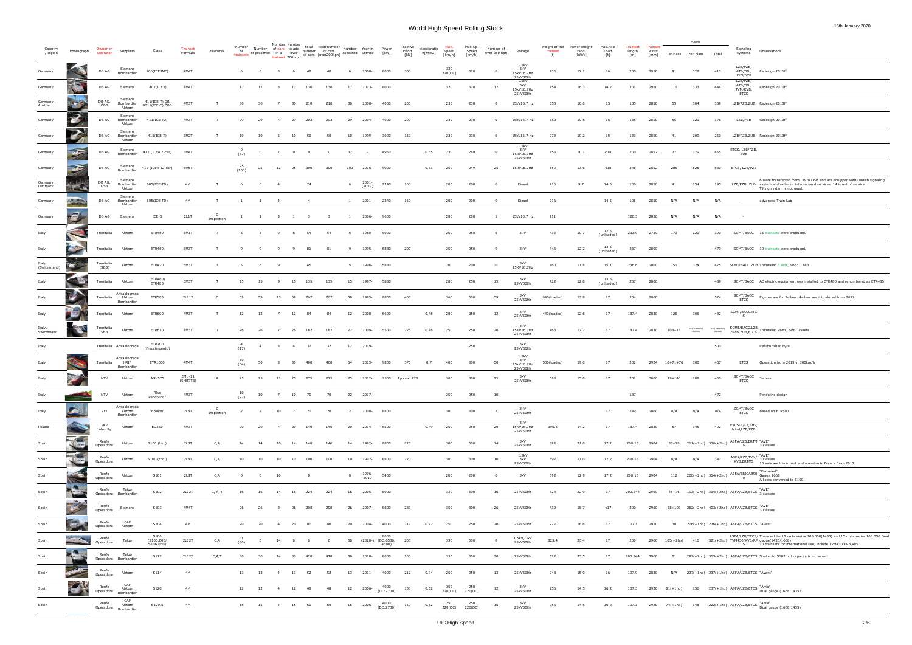| Country<br>/Region      | Photograph           | )wner or<br>Operator | Suppliers                             | Class                            | <b>Trainset</b><br>Formula | Features                   | Number<br>of<br>trainsets | Number of cars to add<br>of presence in a over | Number Number  |                               | total total number Number Year in Power<br>trainset 200 kph of cars (over200 kph) expected Service [kW] |     |                |                          |                                        | Tractive<br>Effort<br>[KN] | Acceleratio<br>n[m/s2] | Max.<br>Speed<br>[km/h]    | Max.Op.<br>Speed<br>[km/h] | Number of<br>over 250 kph | Voltage                                | Weight of the<br>trainset<br>[t] | Power weight<br>ratio<br>[kW/t] | Max.Axle<br>Load<br>$[t] \centering% \includegraphics[width=0.9\textwidth]{Figures/PN1.png} \caption{The 3D (black) model for the $L^2$-error of the estimators in the left and right. The left and right is the same as in the right.} \label{fig:TPN1}$ | Trainset<br>length<br>[m] | <b>Trainset</b><br>width<br>[mm] | 1st class 2nd class       | Seats                       | Total | Signaling<br>Observations<br>systems                                                                                                                                                                          |
|-------------------------|----------------------|----------------------|---------------------------------------|----------------------------------|----------------------------|----------------------------|---------------------------|------------------------------------------------|----------------|-------------------------------|---------------------------------------------------------------------------------------------------------|-----|----------------|--------------------------|----------------------------------------|----------------------------|------------------------|----------------------------|----------------------------|---------------------------|----------------------------------------|----------------------------------|---------------------------------|-----------------------------------------------------------------------------------------------------------------------------------------------------------------------------------------------------------------------------------------------------------|---------------------------|----------------------------------|---------------------------|-----------------------------|-------|---------------------------------------------------------------------------------------------------------------------------------------------------------------------------------------------------------------|
| Germany                 |                      | DB AG                | Siemens<br>Bombardier                 | 406(ICE3MF)                      | 4M4T                       |                            |                           |                                                |                | - 6                           |                                                                                                         |     |                | -2000                    | 8000                                   | 300                        |                        | 330<br>220(DC)             | 320                        | - 6                       | 1.5kV<br>3kV<br>15kV16.7Hz             | 435                              | 17.1                            | 16                                                                                                                                                                                                                                                        | 200                       | 2950                             | 91                        | 322                         | 413   | LZB/PZB,<br>Redesign 2011ff<br>ATB,TBL,<br>TVM/KVB                                                                                                                                                            |
| Germany                 | <b>COLLEGE</b>       | DB AG                | Siemens                               | 407(ICE3)                        | 4M4T                       |                            | 17                        | 17                                             | 8              | 17 136                        | 136                                                                                                     |     | 17             | 2013-                    | 8000                                   |                            |                        | 320                        | 320                        | 17                        | 25kV50Hz<br>1.5kV<br>3kV<br>15kV16.7Hz | 454                              | 16.3                            | 14.2                                                                                                                                                                                                                                                      | 201                       | 2950                             | 111                       | 333                         | 444   | LZB/PZB,<br>ATB, TBL,<br>Redesign 2011ff<br>TVM/KVB,                                                                                                                                                          |
| Germany,<br>Austria     | me 24                | DB AG,<br>ÖBB        | Siemens<br>Bombardier<br>Alstom       | 411(ICE-T) DB<br>4011(ICE-T) ÖBB | 4M3T                       |                            | 30                        | 30                                             | 7              | 30 210                        | 210                                                                                                     |     | 30             | 2000-                    | 4000                                   | 200                        |                        | 230                        | 230                        | $^{\circ}$                | 25kV50Hz<br>15kV16.7 Hz                | 350                              | 10.6                            | 15                                                                                                                                                                                                                                                        | 185                       | 2850                             | 55                        | 304                         | 359   | <b>ETCS</b><br>LZB/PZB,ZUB Redesign 2013ff                                                                                                                                                                    |
| Germany                 |                      | DB AG                | Siemens<br>Bombardier<br>Alstom       | 411(ICE-T2)                      | 4M3T                       |                            | 29                        | 29                                             |                | 29<br>203                     | 203                                                                                                     |     | 29             | 2004-                    | 4000                                   | 200                        |                        | 230                        | 230                        | $\Omega$                  | 15kV16.7 Hz                            | 350                              | 10.5                            | 15                                                                                                                                                                                                                                                        | 185                       | 2850                             | 55                        | 321                         | 376   | LZB/PZB Redesign 2013ff                                                                                                                                                                                       |
| Germany                 |                      | DB AG                | Siemens<br>Bombardier<br>Alstom       | 415(ICE-T)                       | 3M2T                       |                            | 10                        | 10                                             |                | 10<br>- 50                    | -50                                                                                                     |     | 10             | 1999-                    | 3000                                   | 150                        |                        | 230                        | 230                        |                           | 15kV16.7 Hz                            | 273                              | 10.2                            | 15                                                                                                                                                                                                                                                        | 133                       | 2850                             | -41                       | 209                         | 250   | LZB/PZB,ZUB Redesign 2013ff                                                                                                                                                                                   |
| Germany                 | $\overline{AB}$      | DB AG                | Siemens<br>Bombardier                 | 412 (ICE4 7-car)                 | 3M4T                       |                            | (37)                      | $\overline{0}$                                 | $\overline{z}$ | $\sim$ 0<br>$\sim$ 0          | $\overline{0}$                                                                                          |     | 37             | <b>Contract Contract</b> | 4950                                   |                            | 0.55                   | 230                        | 249                        | $^{\circ}$                | 1.5kV<br>3kV<br>15kV16.7Hz             | 455                              | 10.1                            | < 18                                                                                                                                                                                                                                                      | 200                       | 2852                             | 77                        | 379                         | 456   | ETCS, LZB/PZB,<br>ZUB                                                                                                                                                                                         |
| Germany                 | 36                   | DB AG                | Siemens<br>Bombardier                 | 412 (ICE4 12-car)                | 6M6T                       |                            | - 25<br>(100)             | 25                                             | 12             | 25<br>300                     | 300                                                                                                     |     | 100            | 2016-                    | 9900                                   |                            | 0.53                   | 250                        | 249                        | -25                       | 25kV50Hz<br>15kV16.7Hz                 | 659                              | 13.6                            | < 18                                                                                                                                                                                                                                                      | 346                       | 2852                             | 205                       | 625                         | 830   | ETCS, LZB/PZB                                                                                                                                                                                                 |
| Germany,<br>Denmark     | <b>Alberta</b>       | DB AG,<br><b>DSB</b> | Siemens<br>Bombardier<br>Alstom       | 605(ICE-TD)                      | 4M                         |                            |                           | - 6                                            | $\overline{4}$ |                               | 24                                                                                                      |     | 6              | 2001-<br>(2017)          | 2240                                   | 160                        |                        | 200                        | 200                        |                           | Diesel                                 | 216                              | 9.7                             | 14.5                                                                                                                                                                                                                                                      | 106                       | 2850                             | 41                        | 154                         | 195   | 6 were transferred from DB to DSB.and are equipped with Danish signaling<br>LZB/PZB, ZUB system and radio for international services. 14 is out of service.<br>Tilting system is not used.                    |
| Germany                 | <b>CHEMICA</b>       | DB AG                | Siemens<br>Bombardier<br>Alstom       | 605(ICE-TD)                      | 4M                         | T                          |                           | $\mathbf{1}$                                   | $\overline{4}$ |                               | $\overline{4}$                                                                                          |     | 1 2001-        |                          | 2240                                   | 160                        |                        | 200                        | 200                        |                           | Diesel                                 | 216                              |                                 | 14.5                                                                                                                                                                                                                                                      | 106                       | 2850                             | N/A                       | N/A                         | N/A   | advanced Train Lab                                                                                                                                                                                            |
| Germany                 | 厚                    | DB AG                | Siemens                               | ICE-S                            | 2L1T                       | C.<br>Inspection           | $\mathbf{1}$              |                                                |                | 1 3 1 3                       | $\overline{\mathbf{3}}$                                                                                 |     | $\mathbf{1}$   | 2006-                    | 9600                                   |                            |                        | 280                        | 280                        |                           | 15kV16.7 Hz                            | 211                              |                                 |                                                                                                                                                                                                                                                           | 120.3                     | 2856                             | N/A                       | N/A                         | N/A   |                                                                                                                                                                                                               |
| Italy                   | S                    | Trenitalia           | Alstom                                | <b>ETR450</b>                    | 8M1T                       | T                          |                           | - 6                                            | 9              | 54<br>6 <sup>6</sup>          | 54                                                                                                      |     | - 6            | 1988-                    | 5000                                   |                            |                        | 250                        | 250                        | 6                         | 3kV                                    | 435                              | 10.7                            | 12.5<br>(unloaded)                                                                                                                                                                                                                                        | 233.9                     | 2750                             | 170                       | 220                         | 390   | SCMT/BACC 15 trainsets were produced.                                                                                                                                                                         |
| Italy                   |                      | Trenitalia           | Alstom                                | <b>ETR460</b>                    | 6M3T                       |                            |                           |                                                |                |                               | 81<br>81                                                                                                |     |                | 1995-                    | 5880                                   | 207                        |                        | 250                        | 250                        |                           | 3kV                                    | 445                              | 12.2                            | 13.5<br>(unloaded)                                                                                                                                                                                                                                        | 237                       | 2800                             |                           |                             | 479   | SCMT/BACC 10 trainsets were produced.                                                                                                                                                                         |
| Italy,<br>(Switzerland) | $\sqrt{2}$           | Trenitalia<br>(SBB)  | Alstom                                | <b>ETR470</b>                    | 6M3T                       | T                          |                           | 5                                              |                |                               | 45                                                                                                      |     | 5              | 1996-                    | 5880                                   |                            |                        | 200                        | 200                        | $\mathbf 0$               | 3kV<br>15KV16.7Hz                      | 460                              | 11.8                            | 15.1                                                                                                                                                                                                                                                      | 236.6                     | 2800                             | 151                       | 324                         |       | 475 SCMT/BACC, ZUB Trenitalia: 5 sets, SBB: 0 sets                                                                                                                                                            |
| Italy                   |                      | Trenitalia           | Alstom                                | (ETR480)<br>ETR485               | 6M3T                       | T                          | 15                        | 15                                             | - 9            | 15 135                        | 135                                                                                                     |     | 15             | 1997-                    | 5880                                   |                            |                        | 280                        | 250                        | 15                        | 3kV<br>25kV50Hz                        | 422                              | 12.8                            | 13.5<br>(unloaded)                                                                                                                                                                                                                                        | 237                       | 2800                             |                           |                             | 489   | SCMT/BACC AC electric equipment was installed to ETR480 and renumbered as ETR485                                                                                                                              |
| Italy                   |                      | Trenitalia           | Ansaldobreda<br>Alstom<br>Bombardier  | <b>ETR500</b>                    | 2L11T                      | C.                         | 59                        | 59                                             | 13             | 59<br>767                     | 767                                                                                                     |     | 59             | 1995-                    | 8800                                   | 400                        |                        | 360                        | 300                        | 59                        | 3kV<br>25kV50Hz                        | 640(loaded)                      | 13.8                            | 17                                                                                                                                                                                                                                                        | 354                       | 2860                             |                           |                             | 574   | SCMT/BACC Figures are for 3-class. 4-class are introduced from 2012                                                                                                                                           |
| Italy                   |                      | Trenitalia           | Alstom                                | ETR600                           | 4M3T                       | T                          | 12                        | 12                                             | $\overline{7}$ | 12<br>- 84                    | -84                                                                                                     |     | 12             | 2008-                    | 5600                                   |                            | 0.48                   | 280                        | 250                        | 12                        | 3kV<br>25kV50Hz                        | 443(loaded)                      | 12.6                            | 17                                                                                                                                                                                                                                                        | 187.4                     | 2830                             | 126                       | 306                         | 432   | SCMT/BACCETC<br>S.                                                                                                                                                                                            |
| Italy,<br>Switzerland   |                      | Trenitalia<br>SBB    | Alstom                                | ETR610                           | 4M3T                       | T                          | -26                       | -26                                            |                | -26                           | 182                                                                                                     | 182 | 22             | 2009-                    | 5500                                   | 226                        | 0.48                   | 250                        | 250                        | 26                        | 3kV<br>15KV16.7Hz<br>25kV50Hz          | 466                              | 12.2                            | 17                                                                                                                                                                                                                                                        | 187.4                     | 2830                             | $108 + 18$                | 304(Trenitalia)<br>296(SBB) |       | 430(Trenitalia) SCMT/BACC, LZB Trenitalia: 7sets, SBB: 19sets<br>/PZB,ZUB,ETCS                                                                                                                                |
| Italy                   |                      |                      | Trenitalia Ansaldobreda               | ETR700<br>(Frecciargento)        |                            |                            | (17)                      |                                                |                | 4 8 4 32                      | 32                                                                                                      |     | 17 2019-       |                          |                                        |                            |                        |                            | 250                        |                           | 3kV<br>25kV50Hz                        |                                  |                                 |                                                                                                                                                                                                                                                           |                           |                                  |                           |                             | 500   | Refuburished Fyra                                                                                                                                                                                             |
| Italy                   |                      | Trenitalia           | Ansaldobreda<br>$HRI^*$<br>Bombardier | ETR1000                          | 4M4T                       |                            | 50<br>(64)                | 50                                             | 8              | 50                            | 400                                                                                                     | 400 | 64             | 2015-                    | 9800                                   | 370                        | 0.7                    | 400                        | 300                        | 50                        | 1.5kV<br>3kV<br>15kV16.7Hz<br>25kV50Hz | 500(loaded)                      | 19.6                            | 17                                                                                                                                                                                                                                                        | 202                       | 2924                             | $10 + 71 + 76$            | 300                         | 457   | <b>ETCS</b><br>Operation from 2015 in 300km/h                                                                                                                                                                 |
| Italy                   | 三乙                   | <b>NTV</b>           | Alstom                                | <b>AGV575</b>                    | EMU-11<br>(5MB7TB)         | $\overline{A}$             | 25                        | 25                                             | 11             | 25<br>275                     | 275                                                                                                     |     | 25             | 2012-                    | 7500                                   | Approx. 273                |                        |                            | 300                        | 25                        | 3kV<br>25kV50Hz                        | 398                              | 15.0                            | 17                                                                                                                                                                                                                                                        | 201                       | 3000                             | $19 + 143$                | 288                         | 450   | $SCMT/BACC$ 3-class<br><b>ETCS</b>                                                                                                                                                                            |
| Italy                   |                      | <b>NTV</b>           | Alstom                                | "Evo<br>Pendolino"               | 4M3T                       |                            | 10<br>(22)                | 10                                             | $\overline{7}$ | 10 70                         | 70                                                                                                      |     | 22 2017-       |                          |                                        |                            |                        | 250                        | 250                        | 10                        |                                        |                                  |                                 |                                                                                                                                                                                                                                                           | 187                       |                                  |                           |                             | 472   | Pendolino design                                                                                                                                                                                              |
| Italy                   |                      | RFI                  | Ansaldobreda<br>Alstom<br>Bombardier  | "Epsilon"                        | <b>2L8T</b>                | $\mathsf{C}$<br>Inspection | $\overline{2}$            | $\overline{2}$                                 | 10             | 20<br>$\overline{\mathbf{2}}$ | 20                                                                                                      |     |                | 2008-                    | 8800                                   |                            |                        | 300                        | 300                        | $\overline{2}$            | 3kV<br>25kV50Hz                        |                                  |                                 | 17                                                                                                                                                                                                                                                        | 249                       | 2860                             | N/A                       | N/A                         | N/A   | SCMT/BACC Based on ETR500<br><b>ETCS</b>                                                                                                                                                                      |
| Poland                  |                      | PKP<br>Intercity     | Alstom                                | ED250                            | 4M3T                       |                            | 20                        | 20                                             |                | 20                            | 140<br>140                                                                                              |     | 20             | 2014-                    | 5500                                   |                            | 0.49                   | 250                        | 250                        | 20                        | 3kV<br>15KV16.7Hz<br>25kV50Hz          | 395.5                            | 14.2                            | 17                                                                                                                                                                                                                                                        | 187.4                     | 2830                             | 57                        | 345                         | 402   | ETCSL1/L2,SHP,<br>Mirel, LZB/PZB                                                                                                                                                                              |
| Spain                   | $\sim$ $-$           | Renfe<br>Operadora   | Alstom                                | S100 (bic.)                      | 2L8T                       | C,A                        | 14                        | 14                                             | 10             | 140<br>14                     | 140                                                                                                     |     | 14             | 1992-                    | 8800                                   | 220                        |                        | 300                        | 300                        | 14                        | 3kV<br>25kV50Hz                        | 392                              | 21.0                            | 17.2                                                                                                                                                                                                                                                      | 200.15 2904               |                                  | 38+78 211(+2hp) 330(+2hp) |                             |       | ASFA/LZB,ERTM "AVE"<br>S 3 classes                                                                                                                                                                            |
| Spain                   | <b>RUS</b>           | Renfe<br>Operadora   | Alstom                                | S100 (tric.)                     | 2L8T                       | C,A                        | 10                        | 10                                             | 10             | 10                            | 100<br>100                                                                                              |     | 10             | 1992-                    | 8800                                   | 220                        |                        | 300                        | 300                        | 10                        | 1,5kV<br>3kV<br>25kV50Hz               | 392                              | 21.0                            | 17.2                                                                                                                                                                                                                                                      | 200.15                    | 2904                             | N/A                       |                             | 347   | ASFA/LZB, TVM/ "AVE"<br>KNR ERTMC 3 classes<br>KVB, ERTMS<br>10 sets are tri-current and operable in France from 2013.                                                                                        |
| Spain                   |                      | Renfe<br>Operadora   | Alstom                                | S101                             | 2L8T                       | C, A                       | $\overline{0}$            | $\overline{0}$                                 | 10             |                               | $\overline{0}$                                                                                          |     | $\overline{0}$ | 1996-<br>2010            | 5400                                   |                            |                        | 200                        | 200                        | $^{\circ}$                | 3kV                                    | 392                              | 12.9                            | 17.2                                                                                                                                                                                                                                                      | 200.15 2904               |                                  |                           | 112 200(+2hp) 314(+2hp)     |       | ASFA/EBICAB90 Euromed<br>$\overline{0}$<br>All sets converted to S100.                                                                                                                                        |
| Spain                   | <b>PA</b>            | Renfe                | Talgo<br>Operadora Bombardier         | S102                             | 2L12T                      | C, A, T                    | 16                        | 16                                             | 14             | 16<br>224                     | 224                                                                                                     |     | 16             | 2005-                    | 8000                                   |                            |                        | 330                        | 300                        | 16                        | 25kV50Hz                               | 324                              | 22.9                            | 17                                                                                                                                                                                                                                                        | 200.244                   | 2960                             |                           |                             |       | $45+76$ 193(+2hp) 314(+2hp) ASFA/LZB/ETCS $3 \text{ classes}$                                                                                                                                                 |
| Spain                   | <b>REAL PROPERTY</b> | Renfe<br>Operadora   | Siemens                               | S103                             | 4M4T                       |                            | 26                        | - 26                                           |                | -26                           | 208<br>208                                                                                              |     | -26            | 2007-                    | 8800                                   | 283                        |                        | 350                        | 300                        | 26                        | 25kV50Hz                               | 439                              | 18.7                            | <17                                                                                                                                                                                                                                                       | 200                       | 2950                             |                           |                             |       | 38+103  262(+2hp)  403(+2hp)  ASFA/LZB/ETCS $\frac{\text{``AVE''}}{3 \text{ classes}}$                                                                                                                        |
| Spain                   | $\Box$               | Renfe<br>Operadora   | CAF<br>Alstom                         | S104                             | 4M                         |                            | 20                        | 20                                             |                | -20<br>-80                    |                                                                                                         |     | -20            | 2004-                    | 4000                                   | 212                        | 0.72                   | 250                        | 250                        | 20                        | 25kV50Hz                               | 222                              | 16.6                            | 17                                                                                                                                                                                                                                                        | 107.1                     | 2920                             | 30                        |                             |       | 206(+1hp) 236(+1hp) ASFA/LZB/ETCS "Avant"                                                                                                                                                                     |
| Spain                   |                      | Renfe<br>Operadora   | Talgo                                 | S106<br>(S106.000/<br>S106.050)  | 2L12T                      | C, A                       | (30)                      | $\overline{0}$                                 | 14             | $\overline{\mathbf{0}}$       | $\overline{0}$<br>$\Omega$                                                                              |     | 30             |                          | 8000<br>(2020-) (DC:6500, 200<br>4300) |                            |                        | 330                        | 300                        | $\Omega$                  | 1.5kV, 3kV<br>25kV50Hz                 | 323.4                            | 23.4                            | 17                                                                                                                                                                                                                                                        | 200                       | 2960                             | $105(+2hp)$               |                             |       | ASFA/LZB/ETCS/ There will be 15 units series 106.000(1435) and 15 units series 106.050 Dual<br>416 521(+2hp) TVM430/KVB/RP gauge(1435/1668)<br>S 10 trainsets for international use, include TVM430, KVB, RPS |
| Spain                   | $\mathbf{C}$         | Renfe                | Talgo<br>Operadora Bombardier         | <b>S112</b>                      | 2L12T                      | C, A, T                    | 30                        | 30                                             |                | 420<br>30                     | 420                                                                                                     |     | 30             | 2010-                    | 8000                                   | 200                        |                        | 330                        | 300                        | 30                        | 25kV50Hz                               | 322                              | 23.5                            | 17                                                                                                                                                                                                                                                        | 200.244                   | 2960                             |                           |                             |       | 71 292(+2hp) 363(+2hp) ASFA/LZB/ETCS Similar to S102 but capacity is increased.                                                                                                                               |
| Spain                   |                      | Renfe<br>Operadora   | Alstom                                | S114                             | 4M                         |                            | 13                        | 13                                             | $\overline{a}$ | 13<br>52                      | 52                                                                                                      |     | 13             | 2011-                    | 4000                                   | 212                        | 0.74                   | 250                        | 250                        | 13                        | 25kV50Hz                               | 248                              | 15.0                            | 16                                                                                                                                                                                                                                                        | 107.9                     | 2830                             |                           |                             |       | N/A 237(+1hp) 237(+1hp) ASFA/LZB/ETCS "Avant"                                                                                                                                                                 |
| Spain                   | $\sum_{i=1}^{n}$     | Renfe<br>Operadora   | CAF<br>Alstom<br>Bombardier           | S120                             | 4M                         |                            | 12                        | 12                                             | $\overline{4}$ | 12<br>48                      | 48                                                                                                      |     | 12             | 2006-                    | 4000<br>(DC:2700)                      | 150                        | 0.52                   | 250<br>220(DC)             | 250<br>220(DC)             | 12                        | 3kV<br>25kV50Hz                        | 256                              | 14.5                            | 16.2                                                                                                                                                                                                                                                      | 107.3                     | 2920                             | $81(+1hp)$                |                             |       | 156 237(+1hp) ASFA/LZB/ETCS "Alvia"<br>Dual gauge (1668,1435)                                                                                                                                                 |
| Spain                   |                      | Renfe<br>Operadora   | CAF<br>Alstom<br>Bombardier           | S120.5                           | 4M                         |                            | 15 15                     |                                                |                | 4 15 60                       | 60                                                                                                      |     | 15 2006-       |                          | 4000<br>(DC:2700)                      | 150                        | 0.52                   | 250 250<br>220(DC) 220(DC) |                            | 15                        | 3kV<br>25kV50Hz                        | 256                              | 14.5                            | 16.2                                                                                                                                                                                                                                                      | 107.3                     | 2920                             | 74(+1hp)                  |                             |       | 148 222(+1hp) ASFA/LZB/ETCS Alvid Dual gauge (1668,1435)                                                                                                                                                      |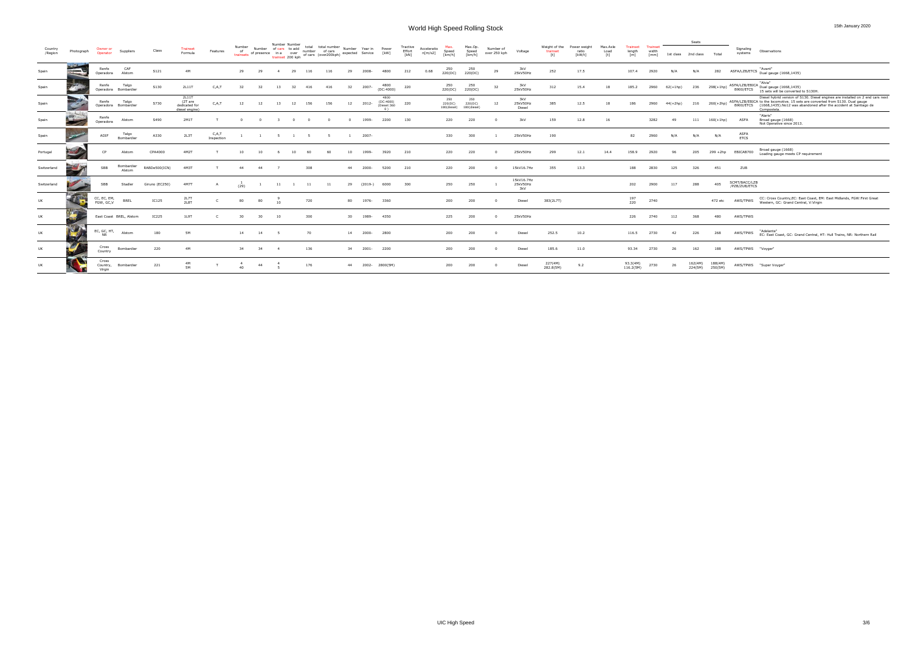| Country<br>/Region | Photograph               | Owner or<br>Operator        | Suppliers                     | Class          | Trainset<br>Formula                                 | Features            | Number<br>of<br>of presence in a over number of cars<br>trainsets of presence in a over number of cars (over200kph) expected Service | Number | Number Number<br>of cars to add |                                       | total<br>total number<br>number of cars |     |    | Number Year in | Power<br>[kW]                    | Tractive<br>Effort<br>[kN] | Acceleratio<br>n[m/s2] | Max.<br>Speed<br>[km/h]       | Max.Op.<br>Speed<br>[km/h]    | Number of<br>over 250 kph | Voltage                       | Weight of the<br>trainset<br>[t] | Power weight<br>ratio<br>[kW/t] | Max.Axle<br>Load | Trainset<br>length<br>[m] | Trainset<br>width<br>[mm] | 1st class  | Seats<br>2nd class | Total                          | Signaling<br>systems           | Observations                                                                                                                                                                                                                                                  |
|--------------------|--------------------------|-----------------------------|-------------------------------|----------------|-----------------------------------------------------|---------------------|--------------------------------------------------------------------------------------------------------------------------------------|--------|---------------------------------|---------------------------------------|-----------------------------------------|-----|----|----------------|----------------------------------|----------------------------|------------------------|-------------------------------|-------------------------------|---------------------------|-------------------------------|----------------------------------|---------------------------------|------------------|---------------------------|---------------------------|------------|--------------------|--------------------------------|--------------------------------|---------------------------------------------------------------------------------------------------------------------------------------------------------------------------------------------------------------------------------------------------------------|
| Spain              | E                        | Renfe<br>Operadora          | CAF<br>Alstom                 | S121           | 4M                                                  |                     | 29                                                                                                                                   | 29     | $\overline{a}$                  | 29<br>116                             |                                         | 116 | 29 | 2008-          | 4800                             | 212                        | 0.68                   | 250<br>220(DC)                | 250<br>220(DC)                | 29                        | 3kV<br>25kV50Hz               | 252                              | 17.5                            |                  | 107.4                     | 2920                      | N/A        | N/A                | 282                            |                                | ASFA/LZB/ETCS Pual gauge (1668,1435)                                                                                                                                                                                                                          |
| Spain              |                          | Renfe                       | Talgo<br>Operadora Bombardier | S130           | 2L11T                                               | C, A, T             |                                                                                                                                      | 32     | 13                              | 32<br>416                             | 416                                     |     | 32 | 2007-          | 4800<br>(DC:4000)                | 220                        |                        | 250<br>220(DC)                | 250<br>220(DC)                | 32                        | 3kV<br>25kV50Hz               | 312                              | 15.4                            | 18               | 185.2                     | 2960                      | $62(+1hp)$ | 236                |                                |                                | "Alvia"<br>$298(+1)$ ASFA/LZB/EBICA Alvid<br>B900/ETCS 15 costs will be converted<br>15 sets will be converted to S130H.                                                                                                                                      |
| Spain              |                          | Renfe                       | Talgo<br>Operadora Bombardier | S730           | 2L11T<br>(2T are<br>dedicated for<br>diesel engine) | C, A, T             | 12                                                                                                                                   | 12     | 13                              | 12<br>156                             |                                         | 156 | 12 | 2012-          | 4800<br>(DC:4000)<br>(Diesel:360 | 220                        |                        | 250<br>220(DC)<br>180(diesel) | 250<br>220(DC)<br>180(diesel) | 12                        | 3kV<br>25kV50Hz<br>Diesel     | 385                              | 12.5                            | 18               |                           | 2960                      | 44(+2hp)   | 216                | $260(+2hp)$                    |                                | Diesel hybrid version of S130. Diesel engines are installed on 2 end cars next<br>ASFA/LZB/EBICA to the locomotive. 15 sets are converted from S130. Dual gauge<br>B900/ETCS (1668,1435). No12 was abandoned after the accident at Santiago de<br>Compostela. |
| Spain              | $\sum$                   | Renfe<br>Operadora          | Alstom                        | S490           | 2M1T                                                |                     |                                                                                                                                      |        |                                 | $\overline{\mathbf{0}}$<br>$^{\circ}$ | - 0                                     |     |    | 1999-          | 2200                             | 130                        |                        | 220                           | 220                           |                           | 3kV                           | 159                              | 12.8                            | 16               |                           | 3282                      | 49         | 111                | $160(+1hp)$                    | ASFA                           | "Alaris"<br>Broad gauge (1668)<br>Not Operative since 2013.                                                                                                                                                                                                   |
| Spain              |                          | ADIF                        | Talgo<br>Bombardier           | A330           | 2L3T                                                | C,A,T<br>Inspection |                                                                                                                                      |        | - 5                             | - 5                                   |                                         |     |    | 2007-          |                                  |                            |                        | 330                           | 300                           |                           | 25kV50Hz                      | 190                              |                                 |                  | 82                        | 2960                      | N/A        | N/A                | N/A                            | ASFA<br><b>ETCS</b>            |                                                                                                                                                                                                                                                               |
| Portugal           |                          | CP                          | Alstom                        | CPA4000        | 4M2T                                                |                     |                                                                                                                                      |        |                                 | 10                                    |                                         |     |    | 1999-          | 3920                             | 210                        |                        | 220                           | 220                           |                           | 25kV50Hz                      | 299                              | 12.1                            | 14.4             | 158.9                     | 2920                      |            | 205                | $299 + 2hp$                    | EBICAB700                      | Broad gauge (1668)<br>Loading gauge meets CP requirement                                                                                                                                                                                                      |
| Switzerland        | <b>SAS</b>               | SBB                         | Bombardier<br>Alstom          | RABDe500(ICN)  | 4M3T                                                |                     | 44                                                                                                                                   | 44     |                                 | 308                                   |                                         |     | 44 | 2000-          | 5200                             | 210                        |                        | 220                           | 200                           |                           | 15kV16.7Hz                    | 355                              | 13.3                            |                  | 188                       | 2830                      | 125        | 326                | 451                            | ZUB                            |                                                                                                                                                                                                                                                               |
| Switzerland        | <b>All Street Street</b> | SBB                         | Stadler                       | Giruno (EC250) | 4M7T                                                |                     | (29)                                                                                                                                 |        | 11                              | 11                                    |                                         | 11  | 29 | $(2019-)$      | 6000                             | 300                        |                        | 250                           | 250                           |                           | 15kV16.7Hz<br>25kV50Hz<br>3kV |                                  |                                 |                  | 202                       | 2900                      | 117        | 288                | 405                            | SCMT/BACC/LZB<br>/PZB/ZUB/ETCS |                                                                                                                                                                                                                                                               |
| UK                 | <b>CONTE</b>             | CC, EC, EM,<br>FGW, GC,V    | <b>BREL</b>                   | <b>IC125</b>   | 2L7T<br>2L8T                                        |                     | 80                                                                                                                                   | 80     | 10                              | 720                                   |                                         |     | 80 | 1976-          | 3360                             |                            |                        | 200                           | 200                           |                           | Diesel                        | 383(2L7T)                        |                                 |                  | 197<br>220                | 2740                      |            |                    | 472 etc                        | AWS/TPWS                       | CC: Cross Country, EC: East Coast, EM: East Midlands, FGW: First Great<br>Western, GC: Grand Central, V:Virgin                                                                                                                                                |
| UK                 | 47                       |                             | East Coast BREL, Alstom       | IC225          | 1L9T                                                |                     |                                                                                                                                      | 30     | 10                              | 300                                   |                                         |     | 30 | 1989-          | 4350                             |                            |                        | 225                           | 200                           |                           | 25kV50Hz                      |                                  |                                 |                  | 226                       | 2740                      | 112        | 368                | 480                            | AWS/TPWS                       |                                                                                                                                                                                                                                                               |
| UK                 | <b>Ticky</b>             | EC, GC, HT,<br><b>NR</b>    | Alstom                        | 180            | <b>5M</b>                                           |                     | 14                                                                                                                                   | 14     |                                 | 70                                    |                                         |     | 14 | 2000-          | 2800                             |                            |                        | 200                           | 200                           |                           | Diesel                        | 252.5                            | 10.2                            |                  | 116.5                     | 2730                      | - 42       | 226                | 268                            | AWS/TPWS                       | "Adelante"<br>EC: East Coast, GC: Grand Central, HT: Hull Trains, NR: Northern Rail                                                                                                                                                                           |
| UK                 |                          | Cross<br>Country            | Bombardier                    | 220            | 4M                                                  |                     | 34                                                                                                                                   | 34     | $\overline{4}$                  | 136                                   |                                         |     | 34 | 2001-          | 2200                             |                            |                        | 200                           | 200                           |                           | Diesel                        | 185.6                            | 11.0                            |                  | 93.34                     | 2730                      | -26        | 162                | 188                            | AWS/TPWS "Voyger"              |                                                                                                                                                                                                                                                               |
| UK                 |                          | Cross<br>Country,<br>Virgin | Bombardier                    | 221            | 4M<br><b>5M</b>                                     |                     | 40                                                                                                                                   | 44     | $\overline{5}$                  | 176                                   |                                         |     | 44 |                | 2002-2800(5M)                    |                            |                        | 200                           | 200                           |                           | Diesel                        | 227(4M)<br>282.8(5M)             | 9.2                             |                  | 93.3(4M)<br>116.2(5M)     | 2730                      | -26        | 162(4M)            | 188(4M)<br>$224(5M)$ $250(5M)$ |                                | AWS/TPWS "Super Voyger"                                                                                                                                                                                                                                       |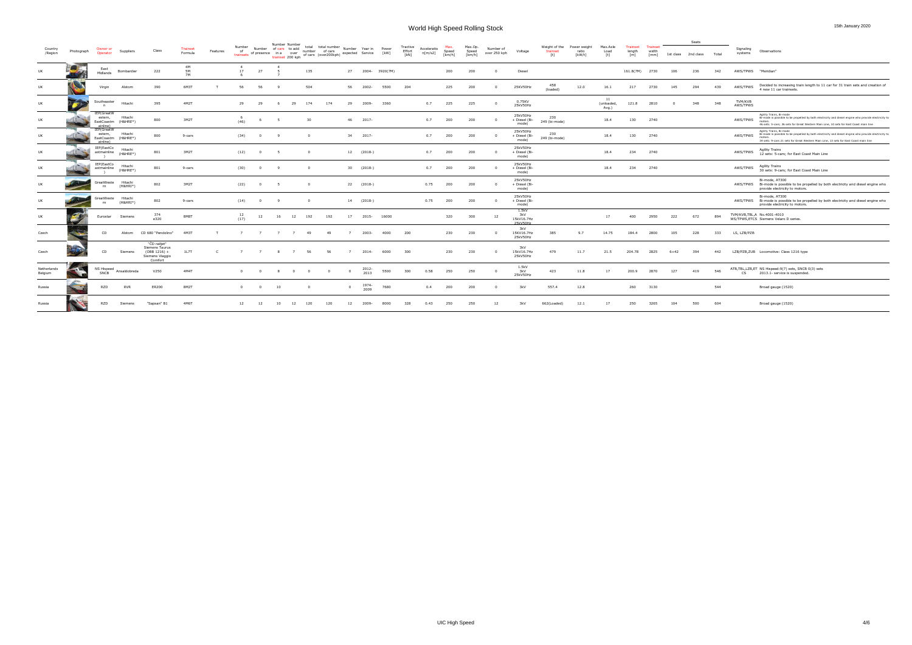|                        |            |                                   |                                |                                                                                |                            |          |                           |                | Number Number                                  |                          |                                                                         |                |               |                |                            |                        |                 |                            |                           |                                        |                                                                                                                                                                                                                                                                                                                                                                                                                                                                                                                                                             |                                |                           |                           |                                  |        | Seats               |       |                      |                                                                                                                                                                                                                                      |
|------------------------|------------|-----------------------------------|--------------------------------|--------------------------------------------------------------------------------|----------------------------|----------|---------------------------|----------------|------------------------------------------------|--------------------------|-------------------------------------------------------------------------|----------------|---------------|----------------|----------------------------|------------------------|-----------------|----------------------------|---------------------------|----------------------------------------|-------------------------------------------------------------------------------------------------------------------------------------------------------------------------------------------------------------------------------------------------------------------------------------------------------------------------------------------------------------------------------------------------------------------------------------------------------------------------------------------------------------------------------------------------------------|--------------------------------|---------------------------|---------------------------|----------------------------------|--------|---------------------|-------|----------------------|--------------------------------------------------------------------------------------------------------------------------------------------------------------------------------------------------------------------------------------|
| Country<br>/Region     | Photograph | Owner or<br>Operator              | Suppliers                      | Class                                                                          | <b>Trainset</b><br>Formula | Features | Number<br>of<br>trainsets |                | Number of cars to add<br>of presence in a over | total                    | total number<br>trainset 200 kph of cars (over200 kph) expected Service | Number         | Year in       | Power<br>[kW]  | Tractive<br>Effort<br>[kN] | Acceleratio<br>n[m/s2] | Speed<br>[km/h] | Max.Op.<br>Speed<br>[km/h] | Number of<br>over 250 kph | Voltage                                | Weight of the<br>trainset<br>$[t] \centering% \includegraphics[width=0.9\textwidth]{Figures/PN1.png} \caption{The 3D (black) model for the $L^2$-error of the estimators in the $L^2$-error of the estimators in the $L^2$-error of the $L^2$-error of the $L^2$-error of the $L^2$-error of the $L^2$-error of the $L^2$-error of the $L^2$-error of the $L^2$-error of the $L^2$-error of the $L^2$-error of the $L^2$-error of the $L^2$-error of the $L^2$-error of the $L^2$-error of the $L^2$-error of the $L^2$-error of the $L^2$-error of the $L$ | Power weigh<br>ratio<br>[kW/t] | Max.Axle<br>Load<br>[t]   | Trainset<br>length<br>[m] | <b>Trainset</b><br>width<br>[mm] |        | 1st class 2nd class | Total | Signaling<br>systems | Observations                                                                                                                                                                                                                         |
| UK                     |            | East<br>Midlands                  | Bombardier                     | 222                                                                            | 4M<br>5M<br>7M             |          | 17                        | 27             |                                                | 135                      |                                                                         | 27             |               | 2004- 3920(7M) |                            |                        | 200             | 200                        |                           | Diesel                                 |                                                                                                                                                                                                                                                                                                                                                                                                                                                                                                                                                             |                                |                           | 161.8(7M)                 | 2730                             | 106    | 236                 | 342   | AWS/TPWS "Meridian"  |                                                                                                                                                                                                                                      |
| UK                     |            | Virgin                            | Alstom                         | 390                                                                            | 6M3T                       |          |                           | 56             |                                                | 504                      |                                                                         | -56            | 2002-         | 5500           | 204                        |                        | 225             | 200                        |                           | 25KV50Hz                               | 458<br>(loaded)                                                                                                                                                                                                                                                                                                                                                                                                                                                                                                                                             | 12.0                           | 16.1                      | 217                       | 2730                             | 145    | 294                 | 439   | AWS/TPWS             | Decided to increasing train length to 11 car for 31 train sets and creation of<br>4 new 11 car trainsets.                                                                                                                            |
| UK                     |            | Southeaster                       | Hitachi                        | 395                                                                            | 4M2T                       |          | 29                        | 29             | - 6                                            | 29<br>174                | 174                                                                     | - 29           | 2009-         | 3360           |                            | 0.7                    | 225             | 225                        |                           | 0.75KV<br>25kV50Hz                     |                                                                                                                                                                                                                                                                                                                                                                                                                                                                                                                                                             |                                | 11<br>(unloaded,<br>Avg.) | 121.8                     | 2810                             | - 0    | 348                 | 348   | TVM/KVB<br>AWS/TPWS  |                                                                                                                                                                                                                                      |
| UK                     |            | IEP(GreatW<br>estern,<br>ainline) | Hitachi<br>EastCoastm (H&HRE*) | 800                                                                            | 3M2T                       |          | (46)                      |                |                                                | 30                       |                                                                         | 46             | 2017-         |                |                            | 0.7                    | 200             | 200                        |                           | 25kV50Hz<br>+ Diesel (Bi-<br>mode)     | 230<br>249 (bi-mode)                                                                                                                                                                                                                                                                                                                                                                                                                                                                                                                                        |                                | 18.4                      | 130                       | 2740                             |        |                     |       | AWS/TPWS             | Agility Trains, Bi-mode<br>Bi-mode is possible to be propelled by both electricity and diesel engine who provide electricity to<br>motors.<br>46 sets: 5-cars; 36 sets for Great Western Main Line, 10 sets for East Coast main line |
| UK                     |            | IEP(GreatW<br>estern,<br>ainline) | Hitachi<br>EastCoastm (H&HRE*) | 800                                                                            | 9-cars                     |          | (34)                      | $\overline{0}$ | $\alpha$                                       | $\overline{0}$           |                                                                         |                | 34 2017-      |                |                            | 0.7                    | 200             | 200                        |                           | 25kV50Hz<br>+ Diesel (Bi-<br>mode)     | 230<br>249 (bi-mode)                                                                                                                                                                                                                                                                                                                                                                                                                                                                                                                                        |                                | 18.4                      | 130                       | 2740                             |        |                     |       | AWS/TPWS             | Agility Trains, Bi-mode<br>Bi-mode is possible to be propelled by both electricity and diesel engine who provide electricity to<br>34 sets: 9-cars 21 sets for Great Western Main Line, 13 sets for East Coast main line             |
| UK                     |            | IEP(EastCo<br>astmainline         | Hitachi<br>$(H8HRE*)$          | 801                                                                            | 3M2T                       |          | (12)                      | $\mathbf{0}$   | - 5                                            | $\overline{\mathbf{0}}$  |                                                                         |                | 12 (2018-)    |                |                            | 0.7                    | 200             | 200                        |                           | 25kV50Hz<br>+ Diesel (Bi-<br>mode)     |                                                                                                                                                                                                                                                                                                                                                                                                                                                                                                                                                             |                                | 18.4                      | 234                       | 2740                             |        |                     |       | AWS/TPWS             | <b>Agility Trains</b><br>12 sets: 5-cars; for East Coast Main Line                                                                                                                                                                   |
| UK                     |            | IEP(EastCo<br>astmainline         | Hitachi<br>$(H8HRE*)$          | 801                                                                            | 9-cars                     |          | (30)                      | $^{\circ}$     |                                                | $^{\circ}$               |                                                                         |                | 30 (2018-)    |                |                            | 0.7                    | 200             | 200                        |                           | 25kV50Hz<br>+ Diesel (Bi-<br>mode)     |                                                                                                                                                                                                                                                                                                                                                                                                                                                                                                                                                             |                                | 18.4                      | 234                       | 2740                             |        |                     |       | AWS/TPWS             | <b>Agility Trains</b><br>30 sets: 9-cars; for East Coast Main Line                                                                                                                                                                   |
| UK                     |            | reatWeste<br>rn                   | Hitachi<br>$(H&HHI*)$          | 802                                                                            | 3M2T                       |          | (22)                      | $^{\circ}$     |                                                | $\overline{\phantom{0}}$ |                                                                         |                | 22 (2018-)    |                |                            | 0.75                   | 200             | 200                        |                           | 25kV50Hz<br>+ Diesel (Bi-<br>mode)     |                                                                                                                                                                                                                                                                                                                                                                                                                                                                                                                                                             |                                |                           |                           |                                  |        |                     |       |                      | Bi-mode, AT300<br>AWS/TPWS Bi-mode is possible to be propelled by both electricity and diesel engine who<br>provide electricity to motors.                                                                                           |
| UK                     |            | reatWeste<br><b>rn</b>            | Hitachi<br>$(H&HHI*)$          | 802                                                                            | 9-cars                     |          | (14)                      | $^{\circ}$     |                                                | $^{\circ}$               |                                                                         |                | 14 (2018-)    |                |                            | 0.75                   | 200             | 200                        |                           | 25kV50Hz<br>+ Diesel (Bi-<br>mode)     |                                                                                                                                                                                                                                                                                                                                                                                                                                                                                                                                                             |                                |                           |                           |                                  |        |                     |       |                      | Bi-mode, AT300<br>AWS/TPWS Bi-mode is possible to be propelled by both electricity and diesel engine who<br>provide electricity to motors.                                                                                           |
| UK                     |            | Eurostar                          | Siemens                        | 374<br>e320                                                                    | 8M8T                       |          | 12<br>(17)                | 12             | 16                                             | 12<br>192                | 192                                                                     | 17             | 2015-         | 16000          |                            |                        | 320             | 300                        | 12                        | 1.5kV<br>3kV<br>15kV16.7Hz<br>25kV50Hz |                                                                                                                                                                                                                                                                                                                                                                                                                                                                                                                                                             |                                | 17                        | 400                       | 2950                             | 222    | 672                 | 894   |                      | TVM/KVB, TBL, A No. 4001-4010<br>WS/TPWS, ETCS Siemens Velaro D series.                                                                                                                                                              |
| Czech                  |            | CD                                | Alstom                         | CD 680 "Pendolino"                                                             | 4M3T                       |          | 7                         | $\overline{7}$ | $\overline{7}$                                 | 49<br>$\overline{z}$     | 49                                                                      | $\overline{z}$ | 2003-         | 4000           | 200                        |                        | 230             | 230                        |                           | 3kV<br>15KV16.7Hz<br>25kV50Hz          | 385                                                                                                                                                                                                                                                                                                                                                                                                                                                                                                                                                         | 9.7                            | 14.75                     | 184.4                     | 2800                             | 105    | 228                 | 333   | LS, LZB/PZB          |                                                                                                                                                                                                                                      |
| Czech                  |            | CD.                               | Siemens                        | "ČD railjet"<br>Siemens Taurus<br>$(OBB 1216) +$<br>Siemens Viaggio<br>Comfort | 1L7T                       | C.       |                           | $\overline{7}$ | 8                                              | 56<br>$\overline{7}$     | 56                                                                      | $\overline{z}$ | 2014-         | 6000           | 300                        |                        | 230             | 230                        |                           | 3kV<br>15kV16.7Hz<br>25kV50Hz          | 479                                                                                                                                                                                                                                                                                                                                                                                                                                                                                                                                                         | 11.7                           | 21.5                      | 204.78                    | 2825                             | $6+42$ | 394                 | 442   |                      | LZB/PZB,ZUB Locomotive: Class 1216 type                                                                                                                                                                                              |
| Netherlands<br>Belgium |            | SNCB                              | NS Hispeed Ansaldobreda        | V250                                                                           | 4M4T                       |          |                           |                |                                                | $^{\circ}$               | 0                                                                       | $\mathbf{0}$   | 2012-<br>2013 | 5500           | 300                        | 0.58                   | 250             | 250                        |                           | 1.5kV<br>3kV<br>25kV50Hz               | 423                                                                                                                                                                                                                                                                                                                                                                                                                                                                                                                                                         | 11.8                           | 17                        | 200.9                     | 2870                             | 127    | 419                 | 546   | CS                   | ATB, TBL, LZB, ET NS Hispeed: 9(7) sets, SNCB 0(3) sets<br>2013.1- service is suspended.                                                                                                                                             |
| Russia                 |            | RZD                               | <b>RVR</b>                     | ER200                                                                          | 8M2T                       |          |                           | $\Omega$       | 10                                             | $^{\circ}$               |                                                                         |                | 1974-<br>2009 | 7680           |                            | 0.4                    | 200             | 200                        |                           | 3kV                                    | 557.4                                                                                                                                                                                                                                                                                                                                                                                                                                                                                                                                                       | 12.8                           |                           | 260                       | 3130                             |        |                     | 544   |                      | Broad gauge (1520)                                                                                                                                                                                                                   |
| Russia                 |            | RZD                               | Siemens                        | "Sapsan" B1                                                                    | 4M61                       |          | 12                        | 12             | 10                                             | 12<br>120                | 120                                                                     | 12             | 2009-         | 8000           | 328                        | 0.43                   | 250             | 250                        | -12                       | 3kV                                    | 662(Loaded)                                                                                                                                                                                                                                                                                                                                                                                                                                                                                                                                                 | 12.1                           | 17                        | 250                       | 3265                             | 104    | 500                 | 604   |                      | Broad gauge (1520)                                                                                                                                                                                                                   |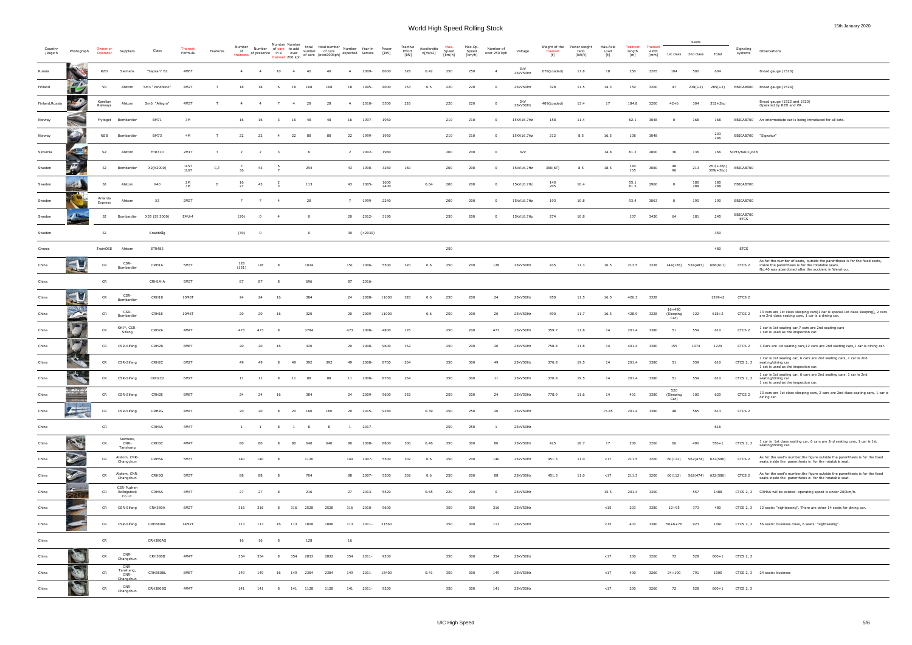| Country<br>/Region | Photograph                          | Owner or<br>Operator | Suppliers                              | Class              | Trainset<br>Formula | Features | Number<br>trainsets of presence in a over | Number of cars to add $\frac{1}{2}$ number of cars           | Number Number<br>trainset 200 kph |                |                | total total number Number Year in Power<br>of cars (over200kph) expected Service [kW] |                |                |              | Tractive<br>Effort<br>[kN] | Acceleratio<br>n[m/s2] | Max.<br>Speed<br>[km/h] | Max.Op.<br>Speed<br>[km/h] | Number of<br>over 250 kph | Voltage         | Weight of the<br>trainset<br>[t] | Power weight<br>ratio<br>[kW/t] | Max.Axle<br>Load<br>[t] | Trainset<br>length<br>[m] | Trainset<br>width<br>[mm] |                                 | Seats<br>1st class 2nd class | Total                    | Signaling<br>systems     | Observations                                                                                                                                                                            |
|--------------------|-------------------------------------|----------------------|----------------------------------------|--------------------|---------------------|----------|-------------------------------------------|--------------------------------------------------------------|-----------------------------------|----------------|----------------|---------------------------------------------------------------------------------------|----------------|----------------|--------------|----------------------------|------------------------|-------------------------|----------------------------|---------------------------|-----------------|----------------------------------|---------------------------------|-------------------------|---------------------------|---------------------------|---------------------------------|------------------------------|--------------------------|--------------------------|-----------------------------------------------------------------------------------------------------------------------------------------------------------------------------------------|
| Russia             |                                     | <b>RZD</b>           | Siemens                                | "Sapsan" B2        | 4M6T                |          | $\sim$ 4                                  | $\overline{4}$                                               | 10                                | $\overline{4}$ | -40            |                                                                                       |                | 2009-          | 8000         | 328                        | 0.42                   | 250                     | 250                        | $\overline{4}$            | 3kV<br>25kV50Hz | 678(Loaded)                      | 11.8                            | 18                      | 250                       | 3265                      | 104                             | 500                          | 604                      |                          | Broad gauge (1520)                                                                                                                                                                      |
| Finland            |                                     | VR                   | Alstom                                 | SM3 "Pendolino"    | 4M2T                | T        | 18                                        | 18                                                           | - 6                               | 18             | 108            | 108                                                                                   | 18             | 1995-          | 4000         | 163                        | 0.5                    | 220                     | 220                        | $\Omega$                  | 25kV50Hz        | 328                              | 11.5                            | 14.3                    | 159                       | 3200                      | 47                              |                              |                          |                          | 238(+2) 285(+2) EBICAB900 Broad gauge (1524)                                                                                                                                            |
| Finland, Russia    | 20                                  | Karelian<br>Railways | Alstom                                 | Sm6 "Allegro"      | 4M3T                | T        | $\overline{4}$                            | $\overline{4}$                                               | $\overline{7}$                    | $\overline{4}$ | 28             | 28                                                                                    | $\overline{4}$ | 2010-          | 5500         | 226                        |                        | 220                     | 220                        | $\mathbf 0$               | 3kV<br>25kV50Hz | 409(Loaded)                      | 13.4                            | 17                      | 184.8                     | 3200                      | $42 + 6$                        | 304                          | 352+2hp                  |                          | Broad gauge (1522 and 1520)<br>Operated by RZD and VR.                                                                                                                                  |
| Norway             |                                     | Flytoget             | Bombardier                             | <b>BM71</b>        | 3M                  |          | 16                                        | 16                                                           | $\overline{\mathbf{3}}$           | 16             | 48             | 48                                                                                    | 16             | 1997-          | 1950         |                            |                        | 210                     | 210                        | $^{\circ}$                | 15KV16.7Hz      | 158                              | 11.4                            |                         | 82.1                      | 3048                      |                                 | 168                          | 168                      |                          | EBICAB700 An intermediate car is being introduced for all sets.                                                                                                                         |
| Norway             |                                     | NSB                  | Bombardier                             | <b>BM73</b>        | 4M                  | T        | 22                                        | 22                                                           | $\overline{4}$                    | 22             | 88             | 88                                                                                    | 22             | 1999-          | 1950         |                            |                        | 210                     | 210                        | $^{\circ}$                | 15KV16.7Hz      | 212                              | 8.5                             | 16.5                    | 108                       | 3048                      |                                 |                              | 203<br>246               | EBICAB700 "Signatur"     |                                                                                                                                                                                         |
| Slovenia           |                                     | SZ                   | Alstom                                 | ETR310             | 2M1T                | T        | $\overline{2}$                            | $\overline{2}$                                               | $\overline{\phantom{a}}$          |                | - 6            |                                                                                       | $\overline{2}$ | 2002-          | 1980         |                            |                        | 200                     | 200                        | $^{\circ}$                | 3kV             |                                  |                                 | 14.8                    | 81.2                      | 2800                      | 30                              | 136                          | 166                      | SCMT/BACC, PZB           |                                                                                                                                                                                         |
| Sweden             | $\mathcal{F}$                       | SJ                   | Bombardier                             | X2(X2000)          | 1L5T<br>1L6T        | C, T     | 36                                        | 43                                                           |                                   |                | 294            |                                                                                       | 43             | 1990-          | 3260         | 160                        |                        | 200                     | 200                        | $^{\circ}$                | 15kV16.7Hz      | 360(6T)                          | 8.5                             | 18.5                    | 140<br>165                | 3080                      | -48<br>96                       | 213                          | 261(+2hp)<br>$309(+2hp)$ | EBICAB700                |                                                                                                                                                                                         |
| Sweden             |                                     | SJ                   | Alstom                                 | X40                | 2M<br>3M            | D        | 16<br>27                                  | 43                                                           |                                   |                | 113            |                                                                                       |                | 43 2005-       | 1600<br>2400 |                            | 0.64                   | 200                     | 200                        | $^{\circ}$                | 15kV16.7Hz      | 140<br>205                       | 10.4                            |                         | $\frac{55.1}{81.5}$       | 2960                      |                                 | 180<br>288                   | 180<br>288               | EBICAB700                |                                                                                                                                                                                         |
| Sweden             |                                     | Arlanda<br>Express   | Alstom                                 | X3                 | 2M2T                |          | 7                                         | 7                                                            | $\overline{4}$                    |                | 28             |                                                                                       | 7              | 1999-          | 2240         |                            |                        | 200                     | 200                        | $^{\circ}$                | 15kV16.7Hz      | 193                              | 10.8                            |                         | 93.4                      | 3063                      |                                 | 190                          | 190                      | EBICAB700                |                                                                                                                                                                                         |
| Sweden             |                                     | SJ                   | Bombardier                             | X55 (SJ 3000)      | EMU-4               |          | (20)                                      | $\overline{0}$                                               | $\overline{4}$                    |                | $\overline{0}$ |                                                                                       |                | 20 2012- 3180  |              |                            |                        | 250                     | 200                        | $^{\circ}$                | 15kV16.7Hz      | 274                              | 10.8                            |                         | 107                       | 3430                      | 64                              | 181                          | 245                      | EBICAB700<br><b>ETCS</b> |                                                                                                                                                                                         |
| Sweden             |                                     | SJ                   |                                        | Snabbtåg           |                     |          | (30)                                      | $\overline{\phantom{0}}$                                     |                                   |                | $\overline{0}$ |                                                                                       |                | 30 (<2030)     |              |                            |                        |                         |                            |                           |                 |                                  |                                 |                         |                           |                           |                                 |                              | 350                      |                          |                                                                                                                                                                                         |
| Greece             |                                     | TrainOSE             | Alstom                                 | <b>ETR485</b>      |                     |          |                                           |                                                              |                                   |                |                |                                                                                       |                |                |              |                            |                        | 250                     |                            |                           |                 |                                  |                                 |                         |                           |                           |                                 |                              | 480                      | <b>ETCS</b>              |                                                                                                                                                                                         |
| China              |                                     | CR                   | CSR-<br>Bombardier                     | CRH1A              | 5M3T                |          | 128<br>(151)                              | 128                                                          | - 8                               |                | 1024           |                                                                                       | 151            | 2006-          | 5500         | 320                        | 0.6                    | 250                     | 200                        | 128                       | 25kV50Hz        | 435                              | 11.3                            | 16.5                    | 213.5                     | 3328                      |                                 | 144(128) 524(483) 668(611)   |                          | CTCS <sub>2</sub>        | As for the number of seats, outside the parenthesis is for the fixed seats,<br>inside the parenthesis is for the rotatable seats.<br>No.46 was abandoned after the accident in Wenzhou. |
| China              |                                     | CR                   |                                        | CRH1A-A            | 5M3T                |          | 87                                        | 87                                                           |                                   |                | 696            |                                                                                       |                | 87 2016-       |              |                            |                        |                         |                            |                           |                 |                                  |                                 |                         |                           |                           |                                 |                              |                          |                          |                                                                                                                                                                                         |
| China              | <b>The Second Second</b><br>$4 - 7$ | CR                   | CSR-<br>Bombardier                     | CRH1B              | 10M6T               |          | 24                                        | 24                                                           | 16                                |                | 384            |                                                                                       | 24             | 2008-          | 11000        | 320                        | 0.6                    | 250                     | 200                        | 24                        | 25kV50Hz        | 850                              | 11.5                            | 16.5                    | 426.3 3328                |                           |                                 |                              | 1299+2                   | CTCS <sub>2</sub>        |                                                                                                                                                                                         |
| China              |                                     | CR                   | CSR-<br>Bombardier                     | CRH1E              | 10M6T               |          | 20                                        | 20                                                           | 16                                |                | 320            |                                                                                       | 20             | 2009-          | 11000        |                            | 0.6                    | 250                     | 200                        | 20                        | 25kV50Hz        | 890                              | 11.7                            | 16.5                    | 428.9                     | 3328                      | $16 + 480$<br>(Sleeping<br>Car) | 122                          | $618 + 2$                | CTCS <sub>2</sub>        | 13 cars are 1st class sleeping cars(1 car is special 1st class sleeping), 2 cars<br>are 2nd class seating cars, 1 car is a dining car.                                                  |
| China              | <b>Agent</b>                        | CR                   | KHI*, CSR-<br>Sifang                   | CRH2A              | 4M4T                |          | 473                                       | 473                                                          |                                   |                | 3784           |                                                                                       | 473            | 2008-          | 4800         | 176                        |                        | 250                     | 200                        | 473                       | 25kV50Hz        | 359.7                            | 11.8                            | 14                      | 201.4                     | 3380                      | 51                              | 559                          | 610                      | CTCS <sub>2</sub>        | 1 car is 1st seating car, 7 cars are 2nd seating cars<br>1 set is used as the inspection car.                                                                                           |
| China              | 四                                   | CR                   | CSR-Sifang                             | CRH2B              | 8M8T                |          | 20                                        | 20                                                           | - 16                              |                | 320            |                                                                                       | 20             | 2008-          | 9600         | 352                        |                        | 250                     | 200                        | 20                        | 25kV50Hz        | 758.8                            | 11.8                            | 14                      | 401.4                     | 3380                      | 155                             | 1074                         | 1229                     | CTCS <sub>2</sub>        | 3 Cars are 1st seating cars, 12 cars are 2nd seating cars, 1 car is dining car.                                                                                                         |
| China              | <b>TALE</b>                         | <b>CR</b>            | CSR-Sifang                             | CRH <sub>2</sub> C | 6M2T                |          | 49                                        | 49                                                           | 8                                 | 49             | 392            | 392                                                                                   | 49             | 2008-          | 8760         | 264                        |                        | 350                     | 300                        | 49                        | 25kV50Hz        | 370.8                            | 19.5                            | 14                      | 201.4                     | 3380                      | 51                              | 559                          | 610                      | CTCS 2, 3                | 1 car is 1st seating car, 6 cars are 2nd seating cars, 1 car is 2nd<br>seating/dining car<br>1 set is used as the inspection car.                                                       |
| China              | <b>The Second Second Second</b>     | CR                   | CSR-Sifang                             | CRH2C2             | 6M2T                |          | 11                                        | 11                                                           | 8 <sup>8</sup>                    | 11             | 88             | 88                                                                                    | 11             | 2008-          | 8760         | 264                        |                        | 350                     | 300                        | 11                        | 25kV50Hz        | 370.8                            | 19.5                            | 14                      | 201.4                     | 3380                      | 51                              | 559                          | 610                      |                          | 1 car is 1st seating car, 6 cars are 2nd seating cars, 1 car is 2nd<br>CTCS 2, 3 seating/dining car<br>1 set is used as the inspection car.                                             |
| China              |                                     | CR D                 | CSR-Sifang                             | CRH2E              | 8M8T                |          | 24                                        | 24                                                           | 16                                |                | 384            |                                                                                       | 24             | 2009-          | 9600         | 352                        |                        | 250                     | 200                        | 24                        | 25kV50Hz        | 778.9                            | 11.6                            | 14                      | 401                       | 3380                      | 520<br>(Sleeping<br>Car)        | 100                          | 620                      | CTCS <sub>2</sub>        | 13 cars are 1st class sleeping cars, 2 cars are 2nd class seating cars, 1 car is<br>dining car.                                                                                         |
| China              | $\frac{1}{2}$                       | <b>CR</b>            | CSR-Sifang                             | CRH2G              | 4M4T                |          | 20                                        | 20                                                           | 8                                 | 20             | 160            | 160                                                                                   | 20             | 2015-          | 9280         |                            | 0.39                   | 250                     | 250                        | 20                        | 25kV50Hz        |                                  |                                 | 15.45                   | 201.4                     | 3380                      | 48                              | 565                          | 613                      | CTCS <sub>2</sub>        |                                                                                                                                                                                         |
| China              |                                     | CR                   |                                        | CRH3A              | 4M4T                |          | <b>1</b>                                  | $\frac{1}{2}$                                                | 8                                 | $\mathbf{1}$   | - 8            | -8                                                                                    | $\mathbf{1}$   | 2017-          |              |                            |                        | 250                     | 250                        | -1                        | 25kV50Hz        |                                  |                                 |                         |                           |                           |                                 |                              | 616                      |                          |                                                                                                                                                                                         |
| China              | <b>TARA</b>                         | CR                   | Siemens,<br>CNR-<br>Tanshang           | CRH3C              | 4M4T                |          | 80                                        | 80                                                           | 8                                 | 80             | 640            | 640                                                                                   | 80             | 2008-          | 8800         | 300                        | 0.46                   | 350                     | 300                        | 80                        | 25kV50Hz        | 425                              | 18.7                            | 17                      | 200                       | 3260                      | 66                              | 490                          | $556 + 1$                | CTCS 2, 3                | 1 car is 1st class seating car, 6 cars are 2nd seating cars, 1 car is 1st<br>seating/dining car.                                                                                        |
| China              | P                                   | CR                   | Alstom, CNR-<br>Changchun              | CRH5A              | 5M3T                |          | 140                                       | 140                                                          | -8                                |                | 1120           |                                                                                       | 140            | 2007-          | 5500         | 302                        | 0.6                    | 250                     | 200                        | 140                       | 25kV50Hz        | 451.3                            | 11.0                            | <17                     | 211.5                     | 3200                      |                                 | 60(112) 562(474) 622(586)    |                          | CTCS <sub>2</sub>        | As for the seat's number, the figure outside the parenthesis is for the fixed<br>seats inside the parenthesis is for the rotatable seat.                                                |
| China              | P                                   | CR                   | Alstom, CNR-<br>Changchun              | CRH5G              | 5M3T                |          | 88                                        | 88                                                           | -8                                |                | 704            |                                                                                       | 88             | 2007-          | 5500         | 302                        | 0.6                    | 250                     | 200                        | 88                        | 25kV50Hz        | 451.3                            | 11.0                            | <17                     | 211.5                     | 3200                      |                                 | 60(112) 562(474) 622(586)    |                          | CTCS <sub>2</sub>        | As for the seat's number, the figure outside the parenthesis is for the fixed<br>seats inside the parenthesis is for the rotatable seat.                                                |
| China              | $\mathbf{r}$<br><b>FRIT</b>         | CR                   | CSR-Puzhen<br>Rollngstock<br>Co.Lit.   | CRH6A              | 4M4T                |          | 27                                        | 27                                                           | - 8                               |                | 216            |                                                                                       | 27             | 2013-          | 5520         |                            | 0.65                   | 220                     | 200                        | $^{\circ}$                | 25kV50Hz        |                                  |                                 | 15.5                    | 201.4                     | 3300                      |                                 | 557                          | 1488                     |                          | CTCS 2, 3 CRH6A will be existed. operating speed is under 200km/h.                                                                                                                      |
| China              |                                     | CR                   | CSR-Sifang                             | CRH380A            | 6M2T                |          | 316                                       | 316                                                          | 8                                 | 316            | 2528           | 2528                                                                                  | 316            | 2010-          | 9600         |                            |                        | 350                     | 300                        | 316                       | 25kV50Hz        |                                  |                                 | $15$                    | 203                       | 3380                      | $12 + 95$                       | 373                          | 480                      |                          | CTCS 2, 3 12 seats: "sightseeing". There are other 14 seats for dining car.                                                                                                             |
| China              |                                     | CR                   | CSR-Sifang                             | CRH380AL           | 14M2T               |          | 113                                       | 113                                                          | 16                                | 113            | 1808           | 1808                                                                                  | 113            | 2011-21560     |              |                            |                        | 350                     | 300                        | 113                       | 25kV50Hz        |                                  |                                 | < 15                    | 403                       | 3380                      | 56+6+76 923                     |                              | 1061                     |                          | CTCS 2, 3 56 seats: business class, 6 seats: "sightseeing".                                                                                                                             |
| China              |                                     | CR                   |                                        | CRH380AG           |                     |          | 16                                        | 16                                                           | 8                                 |                | 128            |                                                                                       | 16             |                |              |                            |                        |                         |                            |                           |                 |                                  |                                 |                         |                           |                           |                                 |                              |                          |                          |                                                                                                                                                                                         |
| China              | n.                                  | CR                   | CNR-<br>Changchun                      | CRH380B            | 4M4T                |          | 354                                       | 354                                                          | 8                                 | 354 2832       |                | 2832                                                                                  | 354            | $2011 -$       | 9200         |                            |                        | 350                     | 300                        | 354                       | 25kV50Hz        |                                  |                                 | <17                     | 200                       | 3260                      | 72                              | 528                          | $600 + 1$                | CTCS 2, 3                |                                                                                                                                                                                         |
| China              | 12                                  | <b>CR</b>            | CNR-<br>Tanshang,<br>CNR-<br>Changchun | CRH380BL           | 8M8T                |          | 149                                       | 149                                                          | 16                                | 149 2384       |                | 2384                                                                                  | 149            | 2011-          | 18400        |                            | 0.41                   | 350                     | 300                        | 149                       | 25kV50Hz        |                                  |                                 | <17                     | 400                       | 3260                      | $24 + 190$                      | 791                          | 1005                     |                          | CTCS 2, 3 24 seats: business                                                                                                                                                            |
| China              |                                     | CR                   | CNR-<br>Changchun                      | CRH380BG           | 4M4T                |          |                                           | $141 \qquad 141 \qquad 8 \qquad 141 \qquad 1128 \qquad 1128$ |                                   |                |                |                                                                                       |                | 141 2011- 9200 |              |                            |                        | 350                     | 300                        | 141                       | 25kV50Hz        |                                  |                                 | < 17                    | 200                       | 3260                      | 72                              | 528                          |                          | 600+1 CTCS 2, 3          |                                                                                                                                                                                         |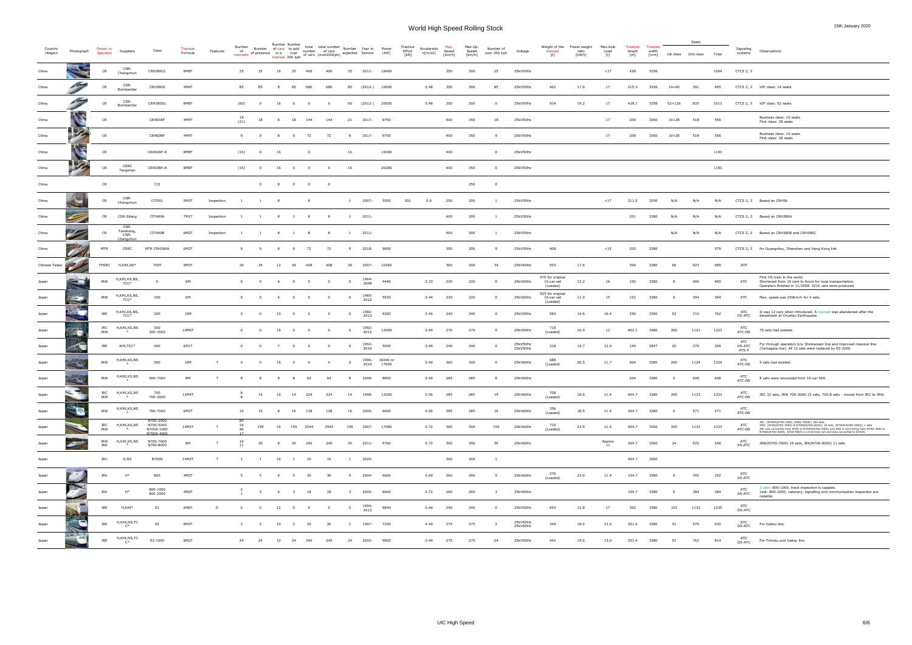| Country        |                                                                                                                      | Owner or                 |                           |                                      | Trainset       |            | Number          |                         | Number Number  | Number of cars to add to the student of cars                 | total total number Number Year in Power |                          |                         |                 |                        | Tractive       | Acceleratio |                 | Max.Op          | Number of                |                      |                                            | Weight of the Power weight | Max.Axle             | Trainset      | <b>Trainset</b> |                | Seats               |       | Signaling              |                                                                                                                                                                                                                          |
|----------------|----------------------------------------------------------------------------------------------------------------------|--------------------------|---------------------------|--------------------------------------|----------------|------------|-----------------|-------------------------|----------------|--------------------------------------------------------------|-----------------------------------------|--------------------------|-------------------------|-----------------|------------------------|----------------|-------------|-----------------|-----------------|--------------------------|----------------------|--------------------------------------------|----------------------------|----------------------|---------------|-----------------|----------------|---------------------|-------|------------------------|--------------------------------------------------------------------------------------------------------------------------------------------------------------------------------------------------------------------------|
| /Region        | Photograph                                                                                                           | Operator                 | Supplier                  |                                      | Formula        | Features   | of<br>trainsets | of presence in a over   |                | trainset 200 kph of cars (over200 kph) expected Service [kW] |                                         |                          |                         |                 |                        | Effort<br>[kN] | n[m/s2]     | Speed<br>[km/h] | Speed<br>[km/h] | over 250 kph             | Voltage              | trainset<br>[t]                            | ratio<br>[kW/t]            | Load<br>[t]          | length<br>[m] | width<br>[mm]   |                | 1st class 2nd class | Total | systems                | Observations                                                                                                                                                                                                             |
| China          |                                                                                                                      | CR                       | CNR-<br>Changchun         | CRH380CL                             | 8M8T           |            | 25              | 25                      | 16             | 25                                                           | 400                                     | 400                      |                         | 25 2011-        | 18400                  |                |             | 350             | 300             | 25                       | 25kV50Hz             |                                            |                            | <17                  | 428           | 3358            |                |                     | 1004  | CTCS 2, 3              |                                                                                                                                                                                                                          |
| China          |                                                                                                                      | CR                       | CSR-<br>Bombardier        | CRH380D                              | 4M4T           |            | 85              | 85                      | 8              | 85                                                           | 680                                     | 680                      | 85                      | $(2012-)$ 10000 |                        |                | 0.48        | 350             | 300             | 85                       | 25kV50Hz             | 462                                        | 17.6                       | 17                   | 215.3         | 3358            | $14 + 90$      | 391                 | 495   |                        | CTCS 2, 3 VIP class: 14 seats                                                                                                                                                                                            |
| China          |                                                                                                                      | CR                       | CSR-<br>Bombardier        | CRH380DL                             | 8M8T           |            | (60)            | $\overline{0}$          | 16             | $\overline{\phantom{0}}$                                     | $^{\circ}$                              |                          | 60                      | $(2012-)$ 20000 |                        |                | 0.48        | 350             | 300             | $^{\circ}$               | 25kV50Hz             | 934                                        | 19.2                       | 17                   | 428.1         | 3358            | $52 + 126$     | 835                 | 1013  |                        | CTCS 2, 3 VIP class: 52 seats                                                                                                                                                                                            |
| China          |                                                                                                                      | CR                       |                           | CR400AF                              | 4M4T           |            | -18<br>(21)     | 18                      | 8              | 18 144                                                       |                                         | 144                      |                         | 21 2017- 9750   |                        |                |             | 400             | 350             | 18                       | 25kV50Hz             |                                            |                            | 17                   | 209           | 3360            | $10 + 28$      | 518                 | 556   |                        | Business class: 10 seats<br>First class: 28 seats                                                                                                                                                                        |
| China          |                                                                                                                      | CR                       |                           | CR400BF                              | 4M4T           |            | 9               | - 9                     | 8 <sup>8</sup> | - 9                                                          | 72                                      | 72                       | 9                       | 2017-9750       |                        |                |             | 400             | 350             | - 9                      | 25kV50Hz             |                                            |                            | 17                   | 209           | 3360            | $10 + 28$      | 518                 | 556   |                        | Business class: 10 seats<br>First class: 28 seats                                                                                                                                                                        |
| China          |                                                                                                                      | CR                       |                           | CR400AF-A                            | 8M8T           |            | (16)            | $\overline{\mathbf{0}}$ | 16             |                                                              | $\overline{0}$                          |                          | 16                      |                 | 19200                  |                |             | 400             |                 | $\overline{0}$           | 25kV50Hz             |                                            |                            |                      |               |                 |                |                     | 1193  |                        |                                                                                                                                                                                                                          |
| China          |                                                                                                                      | CR                       | CRRC<br>Tangshan          | CR400BF-A                            | 8M8T           |            | (16)            | $\overline{0}$          | 16             | $\sim$ 0                                                     | $\overline{0}$                          | $\overline{0}$           | 16                      |                 | 20280                  |                |             | 400             | 350             | $\overline{0}$           | 25kV50Hz             |                                            |                            |                      |               |                 |                |                     | 1193  |                        |                                                                                                                                                                                                                          |
| China          |                                                                                                                      | CR                       |                           | CJ2                                  |                |            |                 |                         |                | $\begin{matrix} 0 && 8 && 0 && 0 \end{matrix}$               |                                         | $\overline{\phantom{0}}$ |                         |                 |                        |                |             |                 | 250             | $\overline{\mathbf{0}}$  |                      |                                            |                            |                      |               |                 |                |                     |       |                        |                                                                                                                                                                                                                          |
| China          |                                                                                                                      | CR                       | CNR-<br>Changchun         | CIT001                               | 5M3T           | Inspection |                 |                         | - 8            |                                                              | 8 <sup>8</sup>                          |                          | $\mathbf{1}$            | 2007-           | 5500                   | 302            | 0.6         | 250             | 200             | $\overline{1}$           | 25kV50Hz             |                                            |                            | <17                  | 211.5         | 3200            | N/A            | N/A                 | N/A   |                        | CTCS 2, 3 Based on CRH5A                                                                                                                                                                                                 |
| China          |                                                                                                                      | CR                       | CSR-Sifang                | CIT400A                              | 7M1T           | Inspection | $\mathbf{1}$    |                         |                | 1 8 1 8                                                      |                                         | 8 <sup>1</sup>           | 1 2011-                 |                 |                        |                |             | 400             | 300             | -1                       | 25kV50Hz             |                                            |                            |                      | 201           | 3380            | N/A            | N/A                 | N/A   |                        | CTCS 2, 3 Based on CRH380A                                                                                                                                                                                               |
| China          | 29                                                                                                                   | CR                       | CNR-<br>Tanshang,<br>CNR- | CIT400B                              | 6M2T           | Inspection |                 | $\mathbf{1}$            | 8 <sup>1</sup> | $\mathbf{1}$                                                 | 8 <sup>2</sup>                          | 8                        | $\overline{1}$          | 2011-           |                        |                |             | 400             | 300             |                          | 25kV50Hz             |                                            |                            |                      |               |                 | N/A            | N/A                 | N/A   |                        | CTCS 2, 3 Based on CRH380B and CRH380C                                                                                                                                                                                   |
| China          |                                                                                                                      | <b>MTR</b>               | Changchur<br>CRRC         | MTR CRH380A                          | 6M2T           |            | 9               | - 9                     | 8 <sup>8</sup> | 9 72                                                         |                                         | 72                       | 9                       | 2018-           | 9600                   |                |             | 350             | 300             | -9                       | 25kV50Hz             | 408                                        |                            | < 15                 | 203           | 3380            |                |                     | 579   |                        | CTCS 2, 3 for Guangzhou, Shenzhen and Hong Kong link                                                                                                                                                                     |
| Chinese Taipei | <b>Contract Contract Contract Contract Contract Contract Contract Contract Contract Contract Contract Contract C</b> |                          | THSRC H,KHI,NS*           | 700T                                 | 9M3T           |            | 34              | 34                      | 12             | 34                                                           | 408                                     | 408                      | 34                      | 2007-           | 10260                  |                |             | 300             | 300             | 34                       | 25kV60Hz             | 503                                        | 17.6                       |                      | 304           | 3380            | 66             | 923                 | 989   | ATP                    |                                                                                                                                                                                                                          |
| Japan          |                                                                                                                      | <b>JRW</b>               | H,KHI,KS,NS,<br>TCC*      | $\overline{\mathbf{0}}$              | 6M             |            | $\overline{0}$  | $\overline{0}$          | 6              | $\overline{0}$                                               | $\overline{\mathbf{0}}$                 | $\overline{0}$           | $\overline{0}$          | 1964-<br>2008   | 4440                   |                | 0.33        | 220             | 220             | $^{\circ}$               | 25kV60Hz             | 970 for original<br>16-car set<br>(Loaded) | 12.2                       | 16                   | 150           | 3380            | $\overline{0}$ | 400                 | 400   | ATC                    | First HS train in the world.<br>Shortened from 16 cars to 6cars for local transportation.<br>Operation finished in 11/2008. 3216 cars were produced.                                                                     |
| Japan          | $\overline{\phantom{a}}$                                                                                             | <b>JRW</b>               | H,KHI,KS,NS,<br>TCC*      | 100                                  | 6M             |            | $\mathbf{0}$    | $\overline{0}$          |                | $\mathbf{0}$                                                 | $\overline{0}$                          | $^{\circ}$               | $\overline{0}$          | 1985-<br>2012   | 5520                   |                | 0.44        | 230             | 220             |                          | 25kV60Hz             | 925 for original<br>16-car set<br>(Loaded) | 11.9                       | 15                   | 152           | 3380            | $\overline{0}$ | 394                 | 394   | ATC                    | Max. speed was 230km/h for V sets.                                                                                                                                                                                       |
| Japan          |                                                                                                                      | <b>JRE</b>               | H,KHI,KS,NS,<br>TCC*      | 200                                  | 10M            |            | $\overline{0}$  | $\overline{\mathbf{0}}$ | 10             | $0\qquad 0$                                                  |                                         | $\overline{\mathbf{0}}$  | $\overline{\mathbf{0}}$ | 1982-<br>2013   | 9200                   |                | 0.44        | 240             | 240             | $^{\circ}$               | 25kV50Hz             | 583                                        | 14.6                       | 16.4                 | 250           | 3380            | 52             | 710                 | 762   | ATC<br><b>DS-ATC</b>   | It was 12 cars when introduced. A trainset was abandoned after the<br>derailment at Chuetsu Earthquake.                                                                                                                  |
| Japan          | 21                                                                                                                   | <b>JRC</b><br><b>JRW</b> | H,KHI,KS,NS<br>$*$        | 300<br>300-3000                      | 10M6T          |            | $\overline{0}$  | $\mathbf{0}$            | - 16           | $\overline{\phantom{0}}$                                     | $\overline{\phantom{0}}$                | $\overline{\mathbf{0}}$  | $\sim$ 0                | 1992-<br>2012   | 12000                  |                | 0.44        | 270             | 270             | $^{\circ}$               | 25kV60Hz             | 710<br>(Loaded)                            | 16.9                       | 12                   | 402.1         | 3380            | 200            | 1123                | 1323  | ATC<br>ATC-NS          | 70 sets had existed.                                                                                                                                                                                                     |
| Japan          |                                                                                                                      | <b>JRE</b>               | KHI,TCC*                  | 400                                  | 6M1T           |            | $\overline{0}$  | $\overline{\mathbf{0}}$ | 7              | $0\qquad 0$                                                  |                                         | $\overline{0}$           | $\overline{\mathbf{0}}$ | 1992-<br>2010   | 5040                   |                | 0.44        | 240             | 240             | $\overline{\phantom{0}}$ | 25kV50Hz<br>20kV50Hz | 318                                        | 14.7                       | 12.9                 | 149           | 2947            | 20             | 379                 | 399   | ATC<br>DS-ATC<br>ATS-P | For through operation b/w Shinkansen line and improved classical line<br>(Yamagata line). All 12 sets were replaced by E2-2000.                                                                                          |
| Japan          |                                                                                                                      | <b>JRW</b>               | H,KHI,KS,NS               | 500                                  | 16M            |            | $\overline{0}$  | $\overline{0}$          | 16             | $\sim$ 0                                                     | $\sim$ 0                                | $\overline{0}$           | $\overline{0}$          | 2010            | 1996-18240 or<br>17600 |                | 0.44        | 300             | 300             | $^{\circ}$               | 25kV60Hz             | 688<br>(Loaded)                            | 26.5                       | 11.7                 | 404           | 3380            | 200            | 1124                | 1324  | ATC<br>ATC-NS          | 9 sets had existed.                                                                                                                                                                                                      |
| Japan          |                                                                                                                      | <b>JRW</b>               | H,KHI,KS,NS               | 500-7000                             | 8 <sub>M</sub> |            |                 |                         | -8             |                                                              | -64                                     | -64                      |                         | 2008-           | 8800                   |                | 0.44        | 285             | 285             | -8                       | 25kV60Hz             |                                            |                            |                      | 204           | 3380            | - 0            | 608                 | 608   | ATC<br>ATC-NS          | 8 sets were renovated from 16-car 500.                                                                                                                                                                                   |
| Japan          |                                                                                                                      | JRC<br><b>JRW</b>        | H,KHI,KS,NS<br>*          | 700<br>700-3000                      | 12M4T          |            |                 | 14                      | 16             | 14                                                           | 224                                     | 224                      | 14                      | 1998-           | 13200                  |                | 0.56        | 285             | 285             | 14                       | 25kV60Hz             | 708<br>(Loaded)                            | 18.6                       | 11.4                 | 404.7         | 3380            | 200            | 1123                | 1323  | ATC<br>ATC-NS          | JRC 32 sets, JRW 700-3000:15 sets, 700:8 sets - moved from JRC to JRW.                                                                                                                                                   |
| Japan          |                                                                                                                      | <b>JRW</b>               | H,KHI,KS,NS               | 700-7000                             | 6M2T           |            | 16              | 16                      | - 8            | 16 128                                                       |                                         | 128                      | 16                      | 2000-           | 6600                   |                | 0.56        | 285             | 285             | 16                       | 25kV60Hz             | 356<br>(Loaded)                            | 18.5                       | 11.4                 | 204.7         | 3380            | $\overline{0}$ | 571                 | 571   | ATC<br>ATC-NS          |                                                                                                                                                                                                                          |
| Japan          |                                                                                                                      | <b>JRC</b><br><b>JRW</b> | H,KHI,KS,NS               | N700-2000<br>N700-5000<br>N700A-1000 | 14M2T          | T          | 46              | 159                     | 16             | 159 2544                                                     |                                         | 2544                     | 159                     | 2007- 17080     |                        |                | 0.72        | 300             | 300             | 159                      | 25kV60Hz             | 715<br>(Loaded)                            | 23.9                       | 11.4                 | 404.7         | 3360            | 200            | 1123                | 1323  | ATC<br>ATC-NS          | JRC: (N700A(N700-1000.-2000.-9000)) 100 sets.<br>JRW: (N700(N700-3000) & N700A(N700-5000)) 16 sets, (N700A(N700-4000)) 1 sets<br>JRC was converted from N700 to N700A(N700-2000) and JRW is converting from N700-3000 to |
| Japan          | $\overline{\phantom{a}}$                                                                                             | <b>JRW</b><br><b>JRK</b> | H,KHI,KS,NS               | N700A-4000<br>N700-7000<br>N700-8000 | <b>8M</b>      | T          | 19<br>11        | 30                      | 8 <sup>8</sup> | 30                                                           | 240                                     | 240                      | 30                      | 2011-           | 9760                   |                | 0.72        | 300             | 300             | 30                       | 25kV60Hz             |                                            |                            | $_{11}^{\rm Approx}$ | 204.7         | 3360            | 24             | 522                 | 546   | ATC<br><b>KS-ATC</b>   | N700A(N700-5000). N700-9000 is a trial train-set and also converted to N700A.<br>JRW(N700-7000) 19 sets, JRK(N700-8000) 11 sets                                                                                          |
| Japan          |                                                                                                                      | <b>JRC</b>               | H,NS                      | <b>N700S</b>                         | 14M2T          | T          | <sup>1</sup>    | $\mathbf{1}$            | 16             | $\overline{1}$                                               | 16                                      | 16                       | $\overline{1}$          | 2020-           |                        |                |             | 300             | 300             | -1                       |                      |                                            |                            |                      | 404.7         | 3360            |                |                     |       |                        |                                                                                                                                                                                                                          |
| Japan          | $\mathcal{F}^{\prime}$                                                                                               | <b>JRK</b>               | $H^*$                     | 800                                  | 4M2T           |            | -5              | 5                       | 6              | $5^{\circ}$                                                  | 30                                      | 30                       | - 5                     | 2004-           | 6600                   |                | 0.69        | 260             | 260             | -5                       | 25kV60Hz             | 276<br>(Loaded)                            | 23.9                       | 11.4                 | 154.7         | 3380            | $\overline{0}$ | 392                 | 392   | ATC<br>KS-ATC          |                                                                                                                                                                                                                          |
| Japan          |                                                                                                                      | <b>JRK</b>               | $H^*$                     | 800-1000<br>800-2000                 | 4M2T           |            |                 | $\overline{\mathbf{3}}$ | 6 <sup>6</sup> | 3 18                                                         |                                         | 18                       | $\overline{\mathbf{3}}$ | 2009-           | 6600                   |                | 0.72        | 260             | 260             | $\overline{\mathbf{3}}$  | 25kV60Hz             |                                            |                            |                      | 154.7         | 3380            | $\overline{0}$ | 384                 | 384   | ATC<br><b>KS-ATC</b>   | 2 sets: 800-1000, track inspection is capable.<br>1set: 800-2000, catenary, signalling and communication inspection are                                                                                                  |
| Japan          |                                                                                                                      | JRE                      | H,KHI*                    | E <sub>1</sub>                       | 6M6T           | D          | $\overline{0}$  | $\overline{0}$          | 12             | $\overline{0}$                                               | $\overline{0}$                          | $^{\circ}$               | $\overline{0}$          | 1994-<br>2012   | 9840                   |                | 0.44        | 240             | 240             | $^{\circ}$               | 25kV50Hz             | 693                                        | 12.8                       | 17                   | 302           | 3380            | 102            | 1133                | 1235  | ATC<br>DS-ATC          | capable.                                                                                                                                                                                                                 |
| Japan          |                                                                                                                      | <b>JRE</b>               | H,KHI,NS,TC<br>$C^*$      | E2                                   | 8M2T           |            | $\overline{2}$  | <sup>2</sup>            | 10             | $\overline{2}$                                               | 20                                      | 20                       | $\overline{1}$          | 1997-           | 7200                   |                | 0.44        | 275             | 275             | $\overline{2}$           | 25kV50Hz<br>25kV60Hz | 349                                        | 18.6                       | 13.0                 | 201.4         | 3380            | 51             | 579                 | 630   | ATC<br><b>DS-ATC</b>   | For Joetsu line.                                                                                                                                                                                                         |
| Japan          | ALME H.<br>$\frac{1}{\sqrt{2\pi}}\left( \frac{1}{\sqrt{2\pi}}\right) ^{2}$                                           | <b>JRE</b>               | H,KHI,NS,TC<br>$C^*$      | E2-1000                              | 8M2T           |            | 24              | 24                      | 10             | 24                                                           | 240                                     | 240                      | 24                      | 2002-           | 9600                   |                | 0.44        | 275             | 275             | 24                       | 25kV50Hz             | 442                                        | 19.6                       | 13.0                 | 251.4         | 3380            | 51             | 763                 | 814   | ATC<br>DS-ATC          | For Tohoku and Joetsu line.                                                                                                                                                                                              |
|                |                                                                                                                      |                          |                           |                                      |                |            |                 |                         |                |                                                              |                                         |                          |                         |                 |                        |                |             |                 |                 |                          |                      |                                            |                            |                      |               |                 |                |                     |       |                        |                                                                                                                                                                                                                          |